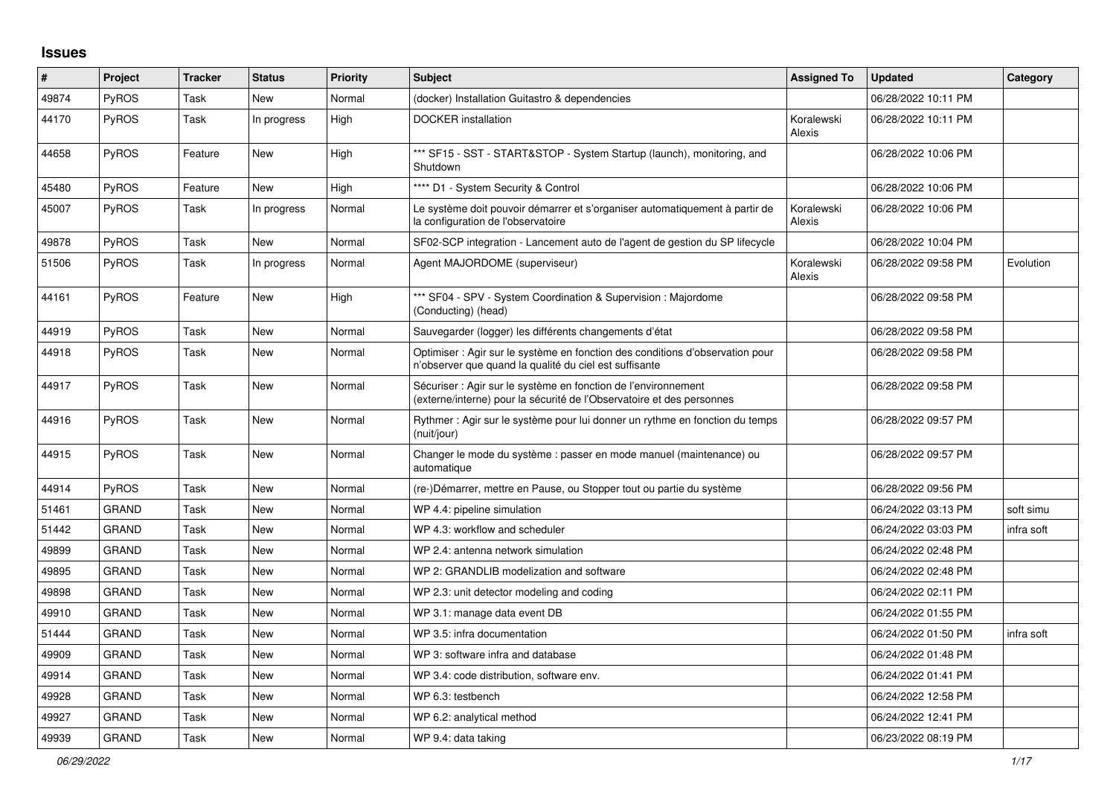## **Issues**

| #     | Project      | <b>Tracker</b> | <b>Status</b> | <b>Priority</b> | <b>Subject</b>                                                                                                                          | <b>Assigned To</b>   | <b>Updated</b>      | Category   |
|-------|--------------|----------------|---------------|-----------------|-----------------------------------------------------------------------------------------------------------------------------------------|----------------------|---------------------|------------|
| 49874 | PyROS        | Task           | New           | Normal          | (docker) Installation Guitastro & dependencies                                                                                          |                      | 06/28/2022 10:11 PM |            |
| 44170 | PyROS        | Task           | In progress   | High            | <b>DOCKER</b> installation                                                                                                              | Koralewski<br>Alexis | 06/28/2022 10:11 PM |            |
| 44658 | <b>PyROS</b> | Feature        | <b>New</b>    | High            | *** SF15 - SST - START&STOP - System Startup (launch), monitoring, and<br>Shutdown                                                      |                      | 06/28/2022 10:06 PM |            |
| 45480 | <b>PyROS</b> | Feature        | <b>New</b>    | High            | **** D1 - System Security & Control                                                                                                     |                      | 06/28/2022 10:06 PM |            |
| 45007 | <b>PyROS</b> | Task           | In progress   | Normal          | Le système doit pouvoir démarrer et s'organiser automatiquement à partir de<br>la configuration de l'observatoire                       | Koralewski<br>Alexis | 06/28/2022 10:06 PM |            |
| 49878 | PyROS        | Task           | <b>New</b>    | Normal          | SF02-SCP integration - Lancement auto de l'agent de gestion du SP lifecycle                                                             |                      | 06/28/2022 10:04 PM |            |
| 51506 | PyROS        | Task           | In progress   | Normal          | Agent MAJORDOME (superviseur)                                                                                                           | Koralewski<br>Alexis | 06/28/2022 09:58 PM | Evolution  |
| 44161 | <b>PyROS</b> | Feature        | New           | High            | *** SF04 - SPV - System Coordination & Supervision : Majordome<br>(Conducting) (head)                                                   |                      | 06/28/2022 09:58 PM |            |
| 44919 | <b>PyROS</b> | Task           | New           | Normal          | Sauvegarder (logger) les différents changements d'état                                                                                  |                      | 06/28/2022 09:58 PM |            |
| 44918 | <b>PyROS</b> | Task           | New           | Normal          | Optimiser : Agir sur le système en fonction des conditions d'observation pour<br>n'observer que quand la qualité du ciel est suffisante |                      | 06/28/2022 09:58 PM |            |
| 44917 | <b>PyROS</b> | Task           | New           | Normal          | Sécuriser : Agir sur le système en fonction de l'environnement<br>(externe/interne) pour la sécurité de l'Observatoire et des personnes |                      | 06/28/2022 09:58 PM |            |
| 44916 | PyROS        | Task           | New           | Normal          | Rythmer : Agir sur le système pour lui donner un rythme en fonction du temps<br>(nuit/jour)                                             |                      | 06/28/2022 09:57 PM |            |
| 44915 | <b>PyROS</b> | Task           | New           | Normal          | Changer le mode du système : passer en mode manuel (maintenance) ou<br>automatique                                                      |                      | 06/28/2022 09:57 PM |            |
| 44914 | <b>PyROS</b> | Task           | <b>New</b>    | Normal          | (re-)Démarrer, mettre en Pause, ou Stopper tout ou partie du système                                                                    |                      | 06/28/2022 09:56 PM |            |
| 51461 | <b>GRAND</b> | Task           | <b>New</b>    | Normal          | WP 4.4: pipeline simulation                                                                                                             |                      | 06/24/2022 03:13 PM | soft simu  |
| 51442 | <b>GRAND</b> | Task           | New           | Normal          | WP 4.3: workflow and scheduler                                                                                                          |                      | 06/24/2022 03:03 PM | infra soft |
| 49899 | <b>GRAND</b> | Task           | New           | Normal          | WP 2.4: antenna network simulation                                                                                                      |                      | 06/24/2022 02:48 PM |            |
| 49895 | <b>GRAND</b> | Task           | New           | Normal          | WP 2: GRANDLIB modelization and software                                                                                                |                      | 06/24/2022 02:48 PM |            |
| 49898 | <b>GRAND</b> | Task           | <b>New</b>    | Normal          | WP 2.3: unit detector modeling and coding                                                                                               |                      | 06/24/2022 02:11 PM |            |
| 49910 | <b>GRAND</b> | Task           | New           | Normal          | WP 3.1: manage data event DB                                                                                                            |                      | 06/24/2022 01:55 PM |            |
| 51444 | <b>GRAND</b> | Task           | New           | Normal          | WP 3.5: infra documentation                                                                                                             |                      | 06/24/2022 01:50 PM | infra soft |
| 49909 | <b>GRAND</b> | Task           | New           | Normal          | WP 3: software infra and database                                                                                                       |                      | 06/24/2022 01:48 PM |            |
| 49914 | <b>GRAND</b> | Task           | New           | Normal          | WP 3.4: code distribution, software env.                                                                                                |                      | 06/24/2022 01:41 PM |            |
| 49928 | <b>GRAND</b> | Task           | New           | Normal          | WP 6.3: testbench                                                                                                                       |                      | 06/24/2022 12:58 PM |            |
| 49927 | <b>GRAND</b> | Task           | New           | Normal          | WP 6.2: analytical method                                                                                                               |                      | 06/24/2022 12:41 PM |            |
| 49939 | <b>GRAND</b> | Task           | New           | Normal          | WP 9.4: data taking                                                                                                                     |                      | 06/23/2022 08:19 PM |            |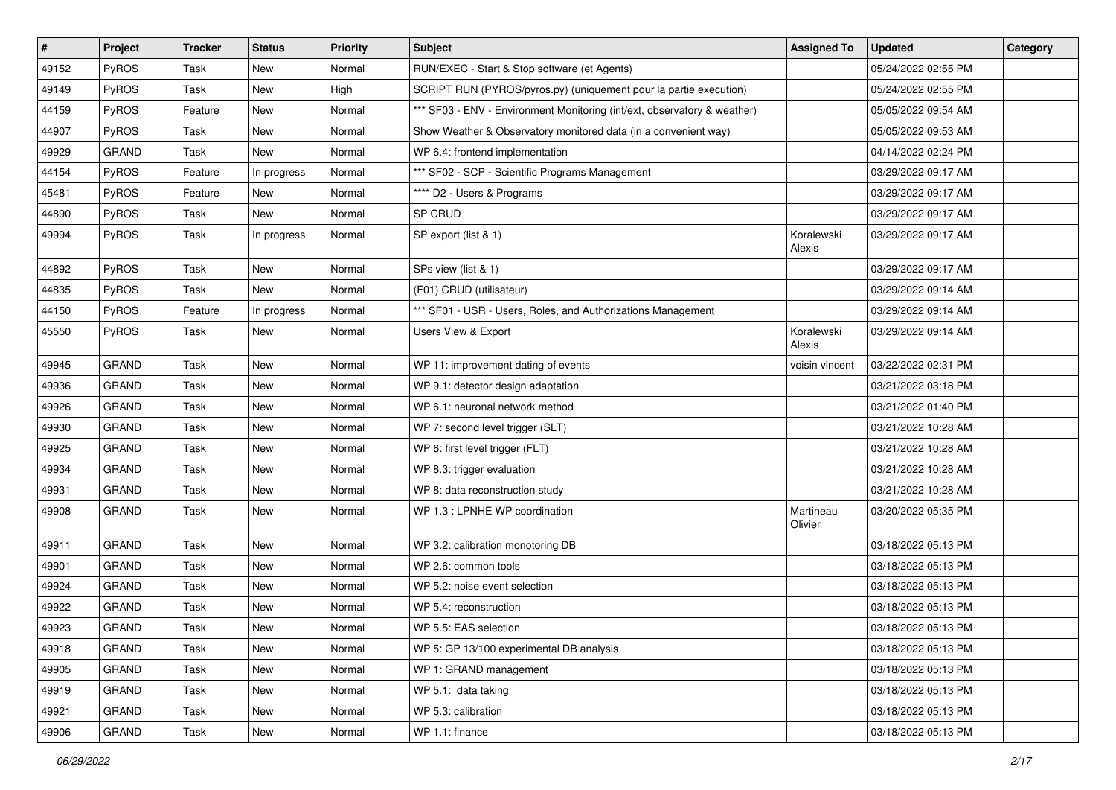| $\pmb{\#}$ | Project      | <b>Tracker</b> | <b>Status</b> | <b>Priority</b> | Subject                                                                  | <b>Assigned To</b>   | <b>Updated</b>      | Category |
|------------|--------------|----------------|---------------|-----------------|--------------------------------------------------------------------------|----------------------|---------------------|----------|
| 49152      | PyROS        | Task           | New           | Normal          | RUN/EXEC - Start & Stop software (et Agents)                             |                      | 05/24/2022 02:55 PM |          |
| 49149      | PyROS        | Task           | <b>New</b>    | High            | SCRIPT RUN (PYROS/pyros.py) (uniquement pour la partie execution)        |                      | 05/24/2022 02:55 PM |          |
| 44159      | PyROS        | Feature        | New           | Normal          | *** SF03 - ENV - Environment Monitoring (int/ext, observatory & weather) |                      | 05/05/2022 09:54 AM |          |
| 44907      | PyROS        | Task           | New           | Normal          | Show Weather & Observatory monitored data (in a convenient way)          |                      | 05/05/2022 09:53 AM |          |
| 49929      | <b>GRAND</b> | Task           | <b>New</b>    | Normal          | WP 6.4: frontend implementation                                          |                      | 04/14/2022 02:24 PM |          |
| 44154      | PyROS        | Feature        | In progress   | Normal          | *** SF02 - SCP - Scientific Programs Management                          |                      | 03/29/2022 09:17 AM |          |
| 45481      | PyROS        | Feature        | New           | Normal          | **** D2 - Users & Programs                                               |                      | 03/29/2022 09:17 AM |          |
| 44890      | <b>PyROS</b> | Task           | New           | Normal          | SP CRUD                                                                  |                      | 03/29/2022 09:17 AM |          |
| 49994      | PyROS        | Task           | In progress   | Normal          | SP export (list & 1)                                                     | Koralewski<br>Alexis | 03/29/2022 09:17 AM |          |
| 44892      | PyROS        | Task           | New           | Normal          | SPs view (list & 1)                                                      |                      | 03/29/2022 09:17 AM |          |
| 44835      | PyROS        | Task           | New           | Normal          | (F01) CRUD (utilisateur)                                                 |                      | 03/29/2022 09:14 AM |          |
| 44150      | PyROS        | Feature        | In progress   | Normal          | *** SF01 - USR - Users, Roles, and Authorizations Management             |                      | 03/29/2022 09:14 AM |          |
| 45550      | PyROS        | Task           | New           | Normal          | Users View & Export                                                      | Koralewski<br>Alexis | 03/29/2022 09:14 AM |          |
| 49945      | <b>GRAND</b> | Task           | New           | Normal          | WP 11: improvement dating of events                                      | voisin vincent       | 03/22/2022 02:31 PM |          |
| 49936      | <b>GRAND</b> | Task           | New           | Normal          | WP 9.1: detector design adaptation                                       |                      | 03/21/2022 03:18 PM |          |
| 49926      | <b>GRAND</b> | Task           | <b>New</b>    | Normal          | WP 6.1: neuronal network method                                          |                      | 03/21/2022 01:40 PM |          |
| 49930      | <b>GRAND</b> | Task           | New           | Normal          | WP 7: second level trigger (SLT)                                         |                      | 03/21/2022 10:28 AM |          |
| 49925      | <b>GRAND</b> | Task           | New           | Normal          | WP 6: first level trigger (FLT)                                          |                      | 03/21/2022 10:28 AM |          |
| 49934      | <b>GRAND</b> | Task           | New           | Normal          | WP 8.3: trigger evaluation                                               |                      | 03/21/2022 10:28 AM |          |
| 49931      | <b>GRAND</b> | Task           | New           | Normal          | WP 8: data reconstruction study                                          |                      | 03/21/2022 10:28 AM |          |
| 49908      | <b>GRAND</b> | Task           | <b>New</b>    | Normal          | WP 1.3 : LPNHE WP coordination                                           | Martineau<br>Olivier | 03/20/2022 05:35 PM |          |
| 49911      | <b>GRAND</b> | Task           | New           | Normal          | WP 3.2: calibration monotoring DB                                        |                      | 03/18/2022 05:13 PM |          |
| 49901      | <b>GRAND</b> | Task           | New           | Normal          | WP 2.6: common tools                                                     |                      | 03/18/2022 05:13 PM |          |
| 49924      | <b>GRAND</b> | Task           | New           | Normal          | WP 5.2: noise event selection                                            |                      | 03/18/2022 05:13 PM |          |
| 49922      | <b>GRAND</b> | Task           | New           | Normal          | WP 5.4: reconstruction                                                   |                      | 03/18/2022 05:13 PM |          |
| 49923      | <b>GRAND</b> | Task           | New           | Normal          | WP 5.5: EAS selection                                                    |                      | 03/18/2022 05:13 PM |          |
| 49918      | <b>GRAND</b> | Task           | New           | Normal          | WP 5: GP 13/100 experimental DB analysis                                 |                      | 03/18/2022 05:13 PM |          |
| 49905      | <b>GRAND</b> | Task           | New           | Normal          | WP 1: GRAND management                                                   |                      | 03/18/2022 05:13 PM |          |
| 49919      | <b>GRAND</b> | Task           | New           | Normal          | WP 5.1: data taking                                                      |                      | 03/18/2022 05:13 PM |          |
| 49921      | <b>GRAND</b> | Task           | New           | Normal          | WP 5.3: calibration                                                      |                      | 03/18/2022 05:13 PM |          |
| 49906      | GRAND        | Task           | New           | Normal          | WP 1.1: finance                                                          |                      | 03/18/2022 05:13 PM |          |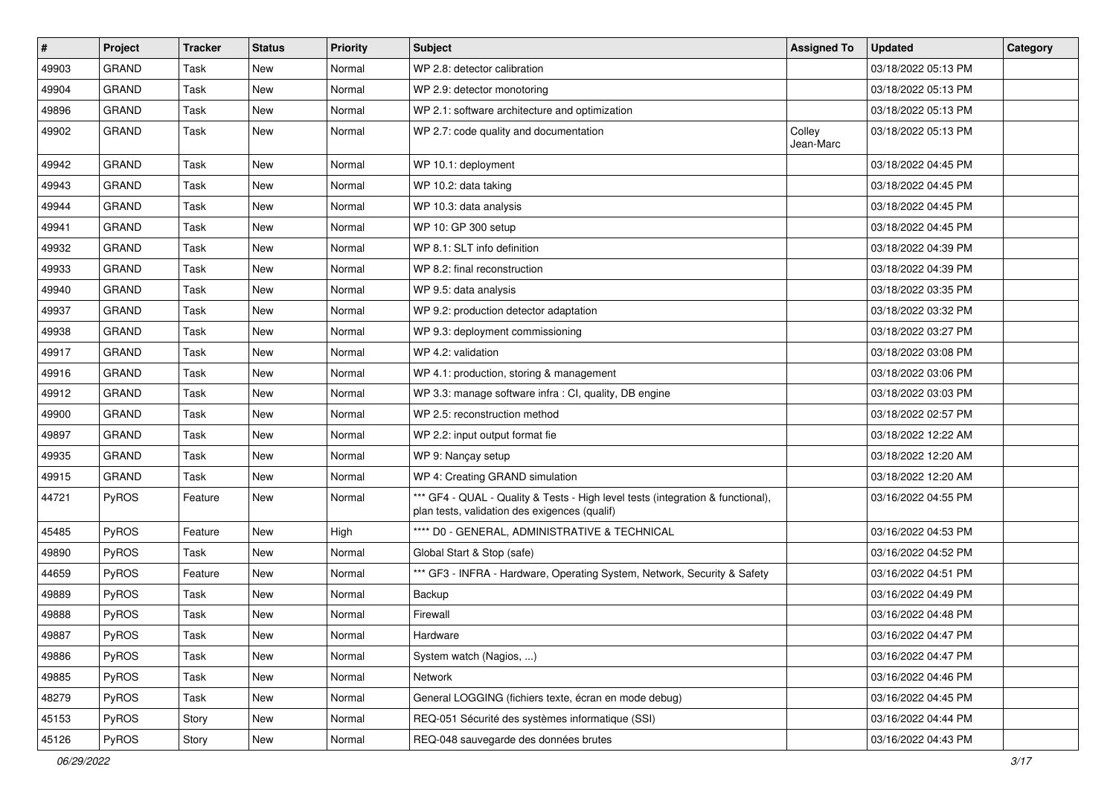| #     | Project      | <b>Tracker</b> | <b>Status</b> | <b>Priority</b> | <b>Subject</b>                                                                                                                   | <b>Assigned To</b>  | <b>Updated</b>      | Category |
|-------|--------------|----------------|---------------|-----------------|----------------------------------------------------------------------------------------------------------------------------------|---------------------|---------------------|----------|
| 49903 | <b>GRAND</b> | Task           | New           | Normal          | WP 2.8: detector calibration                                                                                                     |                     | 03/18/2022 05:13 PM |          |
| 49904 | <b>GRAND</b> | Task           | <b>New</b>    | Normal          | WP 2.9: detector monotoring                                                                                                      |                     | 03/18/2022 05:13 PM |          |
| 49896 | <b>GRAND</b> | Task           | New           | Normal          | WP 2.1: software architecture and optimization                                                                                   |                     | 03/18/2022 05:13 PM |          |
| 49902 | <b>GRAND</b> | Task           | New           | Normal          | WP 2.7: code quality and documentation                                                                                           | Colley<br>Jean-Marc | 03/18/2022 05:13 PM |          |
| 49942 | <b>GRAND</b> | Task           | New           | Normal          | WP 10.1: deployment                                                                                                              |                     | 03/18/2022 04:45 PM |          |
| 49943 | <b>GRAND</b> | Task           | <b>New</b>    | Normal          | WP 10.2: data taking                                                                                                             |                     | 03/18/2022 04:45 PM |          |
| 49944 | <b>GRAND</b> | Task           | New           | Normal          | WP 10.3: data analysis                                                                                                           |                     | 03/18/2022 04:45 PM |          |
| 49941 | <b>GRAND</b> | Task           | New           | Normal          | WP 10: GP 300 setup                                                                                                              |                     | 03/18/2022 04:45 PM |          |
| 49932 | <b>GRAND</b> | Task           | <b>New</b>    | Normal          | WP 8.1: SLT info definition                                                                                                      |                     | 03/18/2022 04:39 PM |          |
| 49933 | <b>GRAND</b> | Task           | New           | Normal          | WP 8.2: final reconstruction                                                                                                     |                     | 03/18/2022 04:39 PM |          |
| 49940 | <b>GRAND</b> | Task           | <b>New</b>    | Normal          | WP 9.5: data analysis                                                                                                            |                     | 03/18/2022 03:35 PM |          |
| 49937 | <b>GRAND</b> | Task           | New           | Normal          | WP 9.2: production detector adaptation                                                                                           |                     | 03/18/2022 03:32 PM |          |
| 49938 | <b>GRAND</b> | Task           | New           | Normal          | WP 9.3: deployment commissioning                                                                                                 |                     | 03/18/2022 03:27 PM |          |
| 49917 | <b>GRAND</b> | Task           | <b>New</b>    | Normal          | WP 4.2: validation                                                                                                               |                     | 03/18/2022 03:08 PM |          |
| 49916 | <b>GRAND</b> | Task           | New           | Normal          | WP 4.1: production, storing & management                                                                                         |                     | 03/18/2022 03:06 PM |          |
| 49912 | <b>GRAND</b> | Task           | <b>New</b>    | Normal          | WP 3.3: manage software infra : CI, quality, DB engine                                                                           |                     | 03/18/2022 03:03 PM |          |
| 49900 | <b>GRAND</b> | Task           | New           | Normal          | WP 2.5: reconstruction method                                                                                                    |                     | 03/18/2022 02:57 PM |          |
| 49897 | <b>GRAND</b> | Task           | New           | Normal          | WP 2.2: input output format fie                                                                                                  |                     | 03/18/2022 12:22 AM |          |
| 49935 | <b>GRAND</b> | Task           | <b>New</b>    | Normal          | WP 9: Nançay setup                                                                                                               |                     | 03/18/2022 12:20 AM |          |
| 49915 | <b>GRAND</b> | Task           | New           | Normal          | WP 4: Creating GRAND simulation                                                                                                  |                     | 03/18/2022 12:20 AM |          |
| 44721 | <b>PyROS</b> | Feature        | New           | Normal          | *** GF4 - QUAL - Quality & Tests - High level tests (integration & functional),<br>plan tests, validation des exigences (qualif) |                     | 03/16/2022 04:55 PM |          |
| 45485 | PyROS        | Feature        | New           | High            | **** D0 - GENERAL, ADMINISTRATIVE & TECHNICAL                                                                                    |                     | 03/16/2022 04:53 PM |          |
| 49890 | PyROS        | Task           | <b>New</b>    | Normal          | Global Start & Stop (safe)                                                                                                       |                     | 03/16/2022 04:52 PM |          |
| 44659 | PyROS        | Feature        | New           | Normal          | *** GF3 - INFRA - Hardware, Operating System, Network, Security & Safety                                                         |                     | 03/16/2022 04:51 PM |          |
| 49889 | PyROS        | Task           | New           | Normal          | Backup                                                                                                                           |                     | 03/16/2022 04:49 PM |          |
| 49888 | PyROS        | Task           | <b>New</b>    | Normal          | Firewall                                                                                                                         |                     | 03/16/2022 04:48 PM |          |
| 49887 | <b>PyROS</b> | Task           | New           | Normal          | Hardware                                                                                                                         |                     | 03/16/2022 04:47 PM |          |
| 49886 | PyROS        | Task           | New           | Normal          | System watch (Nagios, )                                                                                                          |                     | 03/16/2022 04:47 PM |          |
| 49885 | PyROS        | Task           | New           | Normal          | Network                                                                                                                          |                     | 03/16/2022 04:46 PM |          |
| 48279 | PyROS        | Task           | New           | Normal          | General LOGGING (fichiers texte, écran en mode debug)                                                                            |                     | 03/16/2022 04:45 PM |          |
| 45153 | PyROS        | Story          | New           | Normal          | REQ-051 Sécurité des systèmes informatique (SSI)                                                                                 |                     | 03/16/2022 04:44 PM |          |
| 45126 | PyROS        | Story          | New           | Normal          | REQ-048 sauvegarde des données brutes                                                                                            |                     | 03/16/2022 04:43 PM |          |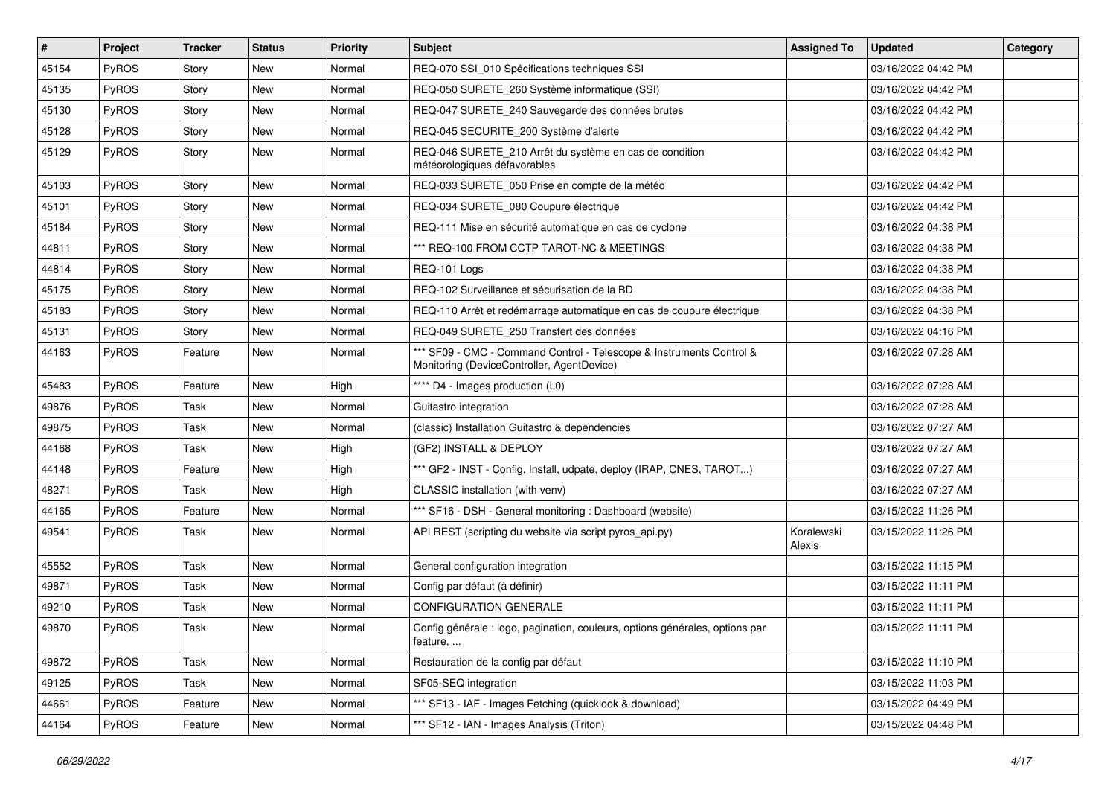| $\vert$ # | Project      | <b>Tracker</b> | <b>Status</b> | <b>Priority</b> | <b>Subject</b>                                                                                                     | <b>Assigned To</b>   | <b>Updated</b>      | Category |
|-----------|--------------|----------------|---------------|-----------------|--------------------------------------------------------------------------------------------------------------------|----------------------|---------------------|----------|
| 45154     | PyROS        | Story          | New           | Normal          | REQ-070 SSI_010 Spécifications techniques SSI                                                                      |                      | 03/16/2022 04:42 PM |          |
| 45135     | PyROS        | Story          | <b>New</b>    | Normal          | REQ-050 SURETE_260 Système informatique (SSI)                                                                      |                      | 03/16/2022 04:42 PM |          |
| 45130     | PyROS        | Story          | New           | Normal          | REQ-047 SURETE_240 Sauvegarde des données brutes                                                                   |                      | 03/16/2022 04:42 PM |          |
| 45128     | PyROS        | Story          | New           | Normal          | REQ-045 SECURITE_200 Système d'alerte                                                                              |                      | 03/16/2022 04:42 PM |          |
| 45129     | <b>PyROS</b> | Story          | New           | Normal          | REQ-046 SURETE_210 Arrêt du système en cas de condition<br>météorologiques défavorables                            |                      | 03/16/2022 04:42 PM |          |
| 45103     | PyROS        | Story          | New           | Normal          | REQ-033 SURETE_050 Prise en compte de la météo                                                                     |                      | 03/16/2022 04:42 PM |          |
| 45101     | PyROS        | Story          | New           | Normal          | REQ-034 SURETE_080 Coupure électrique                                                                              |                      | 03/16/2022 04:42 PM |          |
| 45184     | PyROS        | Story          | New           | Normal          | REQ-111 Mise en sécurité automatique en cas de cyclone                                                             |                      | 03/16/2022 04:38 PM |          |
| 44811     | PyROS        | Story          | New           | Normal          | *** REQ-100 FROM CCTP TAROT-NC & MEETINGS                                                                          |                      | 03/16/2022 04:38 PM |          |
| 44814     | <b>PyROS</b> | Story          | New           | Normal          | REQ-101 Logs                                                                                                       |                      | 03/16/2022 04:38 PM |          |
| 45175     | PyROS        | Story          | New           | Normal          | REQ-102 Surveillance et sécurisation de la BD                                                                      |                      | 03/16/2022 04:38 PM |          |
| 45183     | PyROS        | Story          | New           | Normal          | REQ-110 Arrêt et redémarrage automatique en cas de coupure électrique                                              |                      | 03/16/2022 04:38 PM |          |
| 45131     | PyROS        | Story          | New           | Normal          | REQ-049 SURETE_250 Transfert des données                                                                           |                      | 03/16/2022 04:16 PM |          |
| 44163     | PyROS        | Feature        | New           | Normal          | *** SF09 - CMC - Command Control - Telescope & Instruments Control &<br>Monitoring (DeviceController, AgentDevice) |                      | 03/16/2022 07:28 AM |          |
| 45483     | PyROS        | Feature        | New           | High            | **** D4 - Images production (L0)                                                                                   |                      | 03/16/2022 07:28 AM |          |
| 49876     | PyROS        | Task           | <b>New</b>    | Normal          | Guitastro integration                                                                                              |                      | 03/16/2022 07:28 AM |          |
| 49875     | PyROS        | Task           | New           | Normal          | (classic) Installation Guitastro & dependencies                                                                    |                      | 03/16/2022 07:27 AM |          |
| 44168     | PyROS        | Task           | <b>New</b>    | High            | (GF2) INSTALL & DEPLOY                                                                                             |                      | 03/16/2022 07:27 AM |          |
| 44148     | PyROS        | Feature        | New           | High            | *** GF2 - INST - Config, Install, udpate, deploy (IRAP, CNES, TAROT)                                               |                      | 03/16/2022 07:27 AM |          |
| 48271     | PyROS        | Task           | New           | High            | CLASSIC installation (with venv)                                                                                   |                      | 03/16/2022 07:27 AM |          |
| 44165     | PyROS        | Feature        | New           | Normal          | *** SF16 - DSH - General monitoring : Dashboard (website)                                                          |                      | 03/15/2022 11:26 PM |          |
| 49541     | <b>PyROS</b> | Task           | New           | Normal          | API REST (scripting du website via script pyros_api.py)                                                            | Koralewski<br>Alexis | 03/15/2022 11:26 PM |          |
| 45552     | PyROS        | Task           | <b>New</b>    | Normal          | General configuration integration                                                                                  |                      | 03/15/2022 11:15 PM |          |
| 49871     | PyROS        | Task           | New           | Normal          | Config par défaut (à définir)                                                                                      |                      | 03/15/2022 11:11 PM |          |
| 49210     | PyROS        | Task           | New           | Normal          | <b>CONFIGURATION GENERALE</b>                                                                                      |                      | 03/15/2022 11:11 PM |          |
| 49870     | PyROS        | Task           | New           | Normal          | Config générale : logo, pagination, couleurs, options générales, options par<br>feature,                           |                      | 03/15/2022 11:11 PM |          |
| 49872     | PyROS        | Task           | New           | Normal          | Restauration de la config par défaut                                                                               |                      | 03/15/2022 11:10 PM |          |
| 49125     | PyROS        | Task           | New           | Normal          | SF05-SEQ integration                                                                                               |                      | 03/15/2022 11:03 PM |          |
| 44661     | PyROS        | Feature        | New           | Normal          | *** SF13 - IAF - Images Fetching (quicklook & download)                                                            |                      | 03/15/2022 04:49 PM |          |
| 44164     | PyROS        | Feature        | New           | Normal          | *** SF12 - IAN - Images Analysis (Triton)                                                                          |                      | 03/15/2022 04:48 PM |          |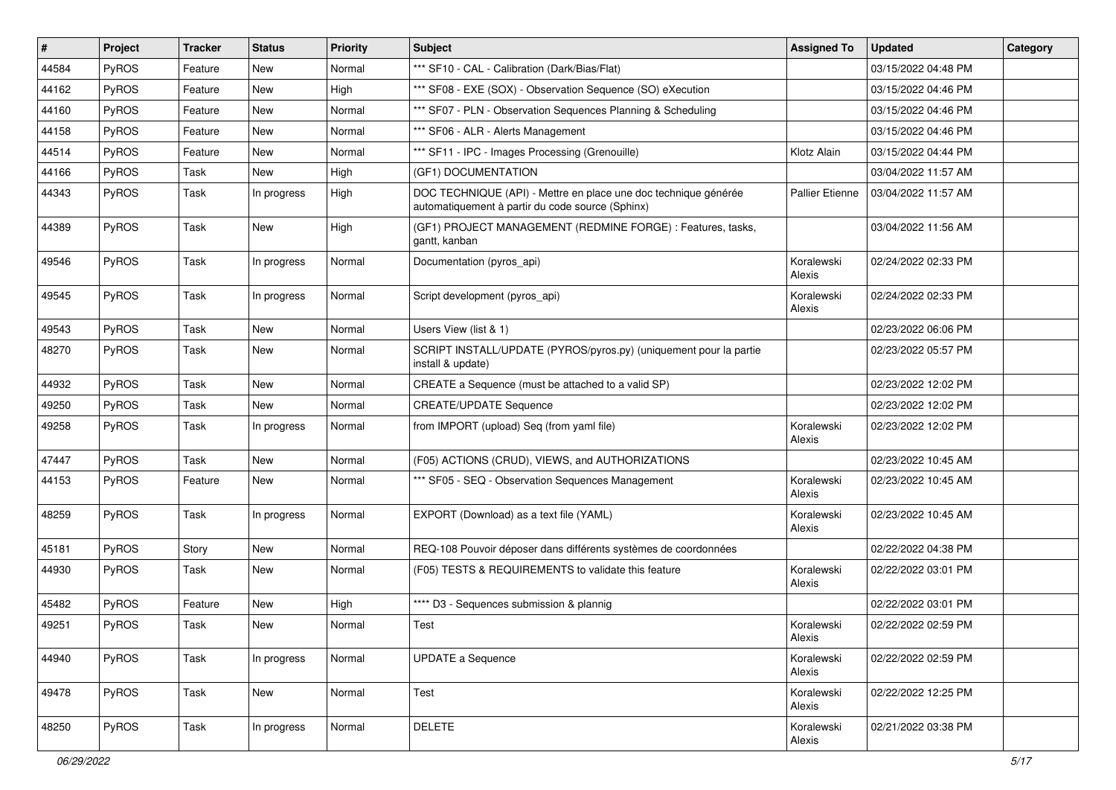| #     | Project | <b>Tracker</b> | <b>Status</b> | <b>Priority</b> | <b>Subject</b>                                                                                                      | <b>Assigned To</b>     | <b>Updated</b>      | Category |
|-------|---------|----------------|---------------|-----------------|---------------------------------------------------------------------------------------------------------------------|------------------------|---------------------|----------|
| 44584 | PyROS   | Feature        | New           | Normal          | *** SF10 - CAL - Calibration (Dark/Bias/Flat)                                                                       |                        | 03/15/2022 04:48 PM |          |
| 44162 | PyROS   | Feature        | <b>New</b>    | High            | *** SF08 - EXE (SOX) - Observation Sequence (SO) eXecution                                                          |                        | 03/15/2022 04:46 PM |          |
| 44160 | PyROS   | Feature        | New           | Normal          | *** SF07 - PLN - Observation Sequences Planning & Scheduling                                                        |                        | 03/15/2022 04:46 PM |          |
| 44158 | PyROS   | Feature        | New           | Normal          | *** SF06 - ALR - Alerts Management                                                                                  |                        | 03/15/2022 04:46 PM |          |
| 44514 | PyROS   | Feature        | New           | Normal          | *** SF11 - IPC - Images Processing (Grenouille)                                                                     | Klotz Alain            | 03/15/2022 04:44 PM |          |
| 44166 | PyROS   | Task           | New           | High            | (GF1) DOCUMENTATION                                                                                                 |                        | 03/04/2022 11:57 AM |          |
| 44343 | PyROS   | Task           | In progress   | High            | DOC TECHNIQUE (API) - Mettre en place une doc technique générée<br>automatiquement à partir du code source (Sphinx) | <b>Pallier Etienne</b> | 03/04/2022 11:57 AM |          |
| 44389 | PyROS   | Task           | <b>New</b>    | High            | (GF1) PROJECT MANAGEMENT (REDMINE FORGE) : Features, tasks,<br>gantt, kanban                                        |                        | 03/04/2022 11:56 AM |          |
| 49546 | PyROS   | Task           | In progress   | Normal          | Documentation (pyros_api)                                                                                           | Koralewski<br>Alexis   | 02/24/2022 02:33 PM |          |
| 49545 | PyROS   | Task           | In progress   | Normal          | Script development (pyros_api)                                                                                      | Koralewski<br>Alexis   | 02/24/2022 02:33 PM |          |
| 49543 | PyROS   | Task           | New           | Normal          | Users View (list & 1)                                                                                               |                        | 02/23/2022 06:06 PM |          |
| 48270 | PyROS   | Task           | New           | Normal          | SCRIPT INSTALL/UPDATE (PYROS/pyros.py) (uniquement pour la partie<br>install & update)                              |                        | 02/23/2022 05:57 PM |          |
| 44932 | PyROS   | Task           | <b>New</b>    | Normal          | CREATE a Sequence (must be attached to a valid SP)                                                                  |                        | 02/23/2022 12:02 PM |          |
| 49250 | PyROS   | Task           | New           | Normal          | <b>CREATE/UPDATE Sequence</b>                                                                                       |                        | 02/23/2022 12:02 PM |          |
| 49258 | PyROS   | Task           | In progress   | Normal          | from IMPORT (upload) Seq (from yaml file)                                                                           | Koralewski<br>Alexis   | 02/23/2022 12:02 PM |          |
| 47447 | PyROS   | Task           | New           | Normal          | (F05) ACTIONS (CRUD), VIEWS, and AUTHORIZATIONS                                                                     |                        | 02/23/2022 10:45 AM |          |
| 44153 | PyROS   | Feature        | New           | Normal          | *** SF05 - SEQ - Observation Sequences Management                                                                   | Koralewski<br>Alexis   | 02/23/2022 10:45 AM |          |
| 48259 | PyROS   | Task           | In progress   | Normal          | EXPORT (Download) as a text file (YAML)                                                                             | Koralewski<br>Alexis   | 02/23/2022 10:45 AM |          |
| 45181 | PyROS   | Story          | New           | Normal          | REQ-108 Pouvoir déposer dans différents systèmes de coordonnées                                                     |                        | 02/22/2022 04:38 PM |          |
| 44930 | PyROS   | Task           | New           | Normal          | (F05) TESTS & REQUIREMENTS to validate this feature                                                                 | Koralewski<br>Alexis   | 02/22/2022 03:01 PM |          |
| 45482 | PyROS   | Feature        | New           | High            | **** D3 - Sequences submission & plannig                                                                            |                        | 02/22/2022 03:01 PM |          |
| 49251 | PyROS   | Task           | New           | Normal          | Test                                                                                                                | Koralewski<br>Alexis   | 02/22/2022 02:59 PM |          |
| 44940 | PyROS   | Task           | In progress   | Normal          | <b>UPDATE a Sequence</b>                                                                                            | Koralewski<br>Alexis   | 02/22/2022 02:59 PM |          |
| 49478 | PyROS   | Task           | New           | Normal          | Test                                                                                                                | Koralewski<br>Alexis   | 02/22/2022 12:25 PM |          |
| 48250 | PyROS   | Task           | In progress   | Normal          | DELETE                                                                                                              | Koralewski<br>Alexis   | 02/21/2022 03:38 PM |          |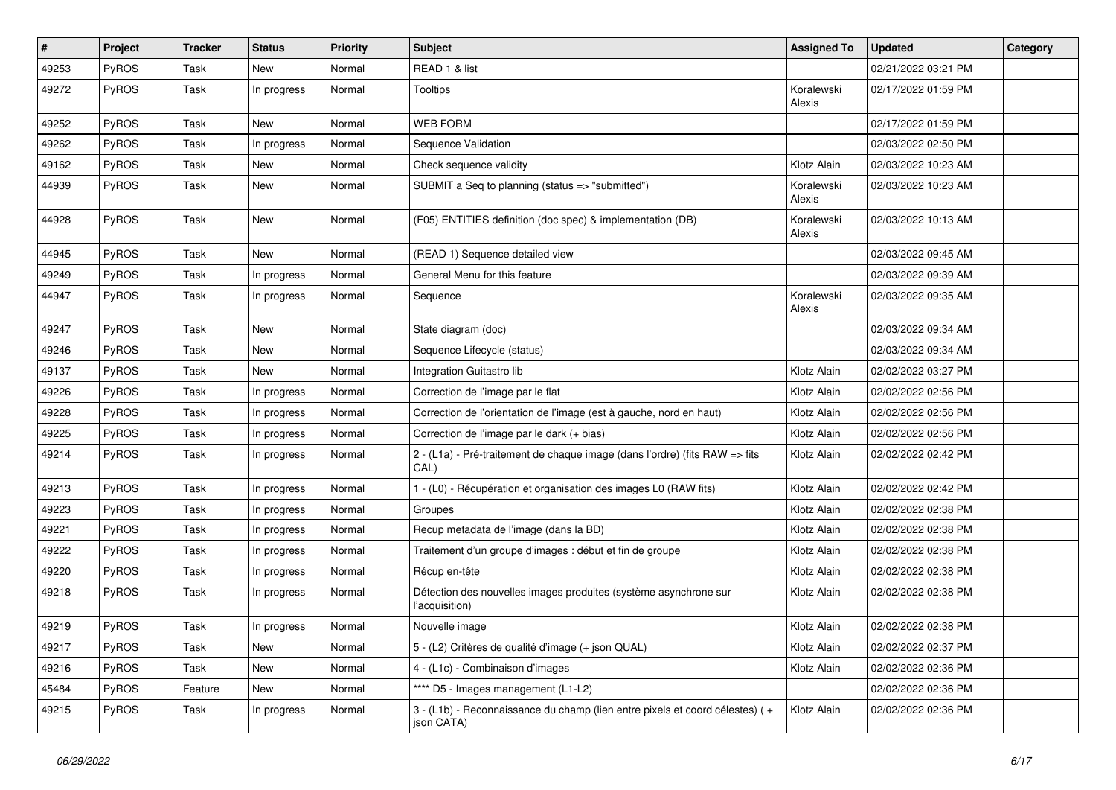| #     | Project      | <b>Tracker</b> | <b>Status</b> | <b>Priority</b> | Subject                                                                                    | <b>Assigned To</b>   | <b>Updated</b>      | Category |
|-------|--------------|----------------|---------------|-----------------|--------------------------------------------------------------------------------------------|----------------------|---------------------|----------|
| 49253 | PyROS        | Task           | New           | Normal          | READ 1 & list                                                                              |                      | 02/21/2022 03:21 PM |          |
| 49272 | PyROS        | Task           | In progress   | Normal          | Tooltips                                                                                   | Koralewski<br>Alexis | 02/17/2022 01:59 PM |          |
| 49252 | PyROS        | Task           | <b>New</b>    | Normal          | <b>WEB FORM</b>                                                                            |                      | 02/17/2022 01:59 PM |          |
| 49262 | PyROS        | <b>Task</b>    | In progress   | Normal          | Sequence Validation                                                                        |                      | 02/03/2022 02:50 PM |          |
| 49162 | PyROS        | Task           | New           | Normal          | Check sequence validity                                                                    | Klotz Alain          | 02/03/2022 10:23 AM |          |
| 44939 | PyROS        | Task           | New           | Normal          | SUBMIT a Seq to planning (status => "submitted")                                           | Koralewski<br>Alexis | 02/03/2022 10:23 AM |          |
| 44928 | PyROS        | Task           | New           | Normal          | (F05) ENTITIES definition (doc spec) & implementation (DB)                                 | Koralewski<br>Alexis | 02/03/2022 10:13 AM |          |
| 44945 | PyROS        | Task           | New           | Normal          | (READ 1) Sequence detailed view                                                            |                      | 02/03/2022 09:45 AM |          |
| 49249 | PyROS        | Task           | In progress   | Normal          | General Menu for this feature                                                              |                      | 02/03/2022 09:39 AM |          |
| 44947 | PyROS        | Task           | In progress   | Normal          | Sequence                                                                                   | Koralewski<br>Alexis | 02/03/2022 09:35 AM |          |
| 49247 | PyROS        | Task           | <b>New</b>    | Normal          | State diagram (doc)                                                                        |                      | 02/03/2022 09:34 AM |          |
| 49246 | PyROS        | Task           | New           | Normal          | Sequence Lifecycle (status)                                                                |                      | 02/03/2022 09:34 AM |          |
| 49137 | PyROS        | <b>Task</b>    | New           | Normal          | Integration Guitastro lib                                                                  | Klotz Alain          | 02/02/2022 03:27 PM |          |
| 49226 | PyROS        | Task           | In progress   | Normal          | Correction de l'image par le flat                                                          | Klotz Alain          | 02/02/2022 02:56 PM |          |
| 49228 | PyROS        | Task           | In progress   | Normal          | Correction de l'orientation de l'image (est à gauche, nord en haut)                        | Klotz Alain          | 02/02/2022 02:56 PM |          |
| 49225 | PyROS        | Task           | In progress   | Normal          | Correction de l'image par le dark (+ bias)                                                 | Klotz Alain          | 02/02/2022 02:56 PM |          |
| 49214 | <b>PyROS</b> | Task           | In progress   | Normal          | 2 - (L1a) - Pré-traitement de chaque image (dans l'ordre) (fits RAW => fits<br>CAL)        | Klotz Alain          | 02/02/2022 02:42 PM |          |
| 49213 | PyROS        | Task           | In progress   | Normal          | 1 - (L0) - Récupération et organisation des images L0 (RAW fits)                           | Klotz Alain          | 02/02/2022 02:42 PM |          |
| 49223 | PyROS        | Task           | In progress   | Normal          | Groupes                                                                                    | Klotz Alain          | 02/02/2022 02:38 PM |          |
| 49221 | PyROS        | Task           | In progress   | Normal          | Recup metadata de l'image (dans la BD)                                                     | Klotz Alain          | 02/02/2022 02:38 PM |          |
| 49222 | PyROS        | Task           | In progress   | Normal          | Traitement d'un groupe d'images : début et fin de groupe                                   | Klotz Alain          | 02/02/2022 02:38 PM |          |
| 49220 | PyROS        | Task           | In progress   | Normal          | Récup en-tête                                                                              | Klotz Alain          | 02/02/2022 02:38 PM |          |
| 49218 | PyROS        | Task           | In progress   | Normal          | Détection des nouvelles images produites (système asynchrone sur<br>l'acquisition)         | Klotz Alain          | 02/02/2022 02:38 PM |          |
| 49219 | PyROS        | Task           | In progress   | Normal          | Nouvelle image                                                                             | Klotz Alain          | 02/02/2022 02:38 PM |          |
| 49217 | PyROS        | Task           | New           | Normal          | 5 - (L2) Critères de qualité d'image (+ json QUAL)                                         | Klotz Alain          | 02/02/2022 02:37 PM |          |
| 49216 | PyROS        | Task           | New           | Normal          | 4 - (L1c) - Combinaison d'images                                                           | Klotz Alain          | 02/02/2022 02:36 PM |          |
| 45484 | PyROS        | Feature        | New           | Normal          | **** D5 - Images management (L1-L2)                                                        |                      | 02/02/2022 02:36 PM |          |
| 49215 | PyROS        | Task           | In progress   | Normal          | 3 - (L1b) - Reconnaissance du champ (lien entre pixels et coord célestes) (+<br>json CATA) | Klotz Alain          | 02/02/2022 02:36 PM |          |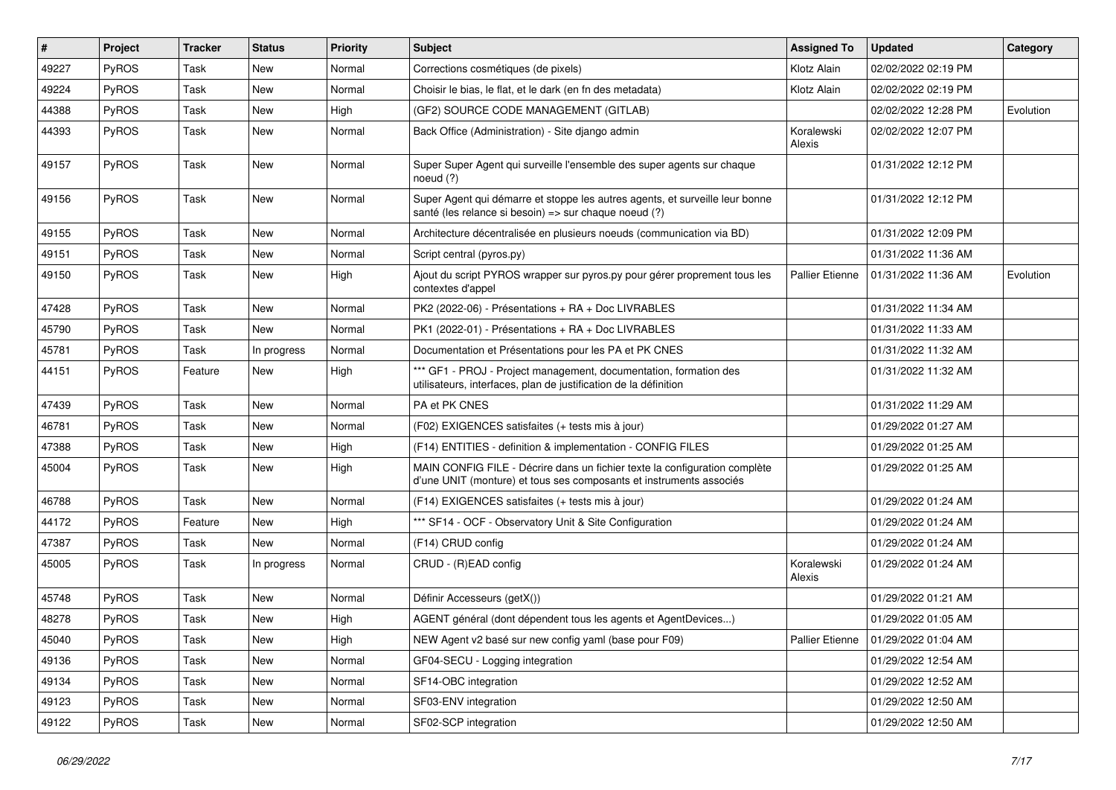| #     | Project      | <b>Tracker</b> | <b>Status</b> | <b>Priority</b> | Subject                                                                                                                                           | <b>Assigned To</b>     | <b>Updated</b>      | Category  |
|-------|--------------|----------------|---------------|-----------------|---------------------------------------------------------------------------------------------------------------------------------------------------|------------------------|---------------------|-----------|
| 49227 | PyROS        | Task           | New           | Normal          | Corrections cosmétiques (de pixels)                                                                                                               | Klotz Alain            | 02/02/2022 02:19 PM |           |
| 49224 | PyROS        | Task           | <b>New</b>    | Normal          | Choisir le bias, le flat, et le dark (en fn des metadata)                                                                                         | Klotz Alain            | 02/02/2022 02:19 PM |           |
| 44388 | PyROS        | Task           | New           | High            | (GF2) SOURCE CODE MANAGEMENT (GITLAB)                                                                                                             |                        | 02/02/2022 12:28 PM | Evolution |
| 44393 | PyROS        | Task           | New           | Normal          | Back Office (Administration) - Site django admin                                                                                                  | Koralewski<br>Alexis   | 02/02/2022 12:07 PM |           |
| 49157 | PyROS        | Task           | <b>New</b>    | Normal          | Super Super Agent qui surveille l'ensemble des super agents sur chaque<br>noeud $(?)$                                                             |                        | 01/31/2022 12:12 PM |           |
| 49156 | PyROS        | Task           | New           | Normal          | Super Agent qui démarre et stoppe les autres agents, et surveille leur bonne<br>santé (les relance si besoin) => sur chaque noeud (?)             |                        | 01/31/2022 12:12 PM |           |
| 49155 | PyROS        | Task           | <b>New</b>    | Normal          | Architecture décentralisée en plusieurs noeuds (communication via BD)                                                                             |                        | 01/31/2022 12:09 PM |           |
| 49151 | <b>PyROS</b> | Task           | New           | Normal          | Script central (pyros.py)                                                                                                                         |                        | 01/31/2022 11:36 AM |           |
| 49150 | PyROS        | Task           | New           | High            | Ajout du script PYROS wrapper sur pyros.py pour gérer proprement tous les<br>contextes d'appel                                                    | <b>Pallier Etienne</b> | 01/31/2022 11:36 AM | Evolution |
| 47428 | PyROS        | Task           | <b>New</b>    | Normal          | PK2 (2022-06) - Présentations + RA + Doc LIVRABLES                                                                                                |                        | 01/31/2022 11:34 AM |           |
| 45790 | PyROS        | Task           | <b>New</b>    | Normal          | PK1 (2022-01) - Présentations + RA + Doc LIVRABLES                                                                                                |                        | 01/31/2022 11:33 AM |           |
| 45781 | PyROS        | Task           | In progress   | Normal          | Documentation et Présentations pour les PA et PK CNES                                                                                             |                        | 01/31/2022 11:32 AM |           |
| 44151 | PyROS        | Feature        | <b>New</b>    | High            | *** GF1 - PROJ - Project management, documentation, formation des<br>utilisateurs, interfaces, plan de justification de la définition             |                        | 01/31/2022 11:32 AM |           |
| 47439 | PyROS        | Task           | New           | Normal          | PA et PK CNES                                                                                                                                     |                        | 01/31/2022 11:29 AM |           |
| 46781 | PyROS        | Task           | New           | Normal          | (F02) EXIGENCES satisfaites (+ tests mis à jour)                                                                                                  |                        | 01/29/2022 01:27 AM |           |
| 47388 | PyROS        | Task           | <b>New</b>    | High            | (F14) ENTITIES - definition & implementation - CONFIG FILES                                                                                       |                        | 01/29/2022 01:25 AM |           |
| 45004 | PyROS        | Task           | New           | High            | MAIN CONFIG FILE - Décrire dans un fichier texte la configuration complète<br>d'une UNIT (monture) et tous ses composants et instruments associés |                        | 01/29/2022 01:25 AM |           |
| 46788 | PyROS        | Task           | New           | Normal          | (F14) EXIGENCES satisfaites (+ tests mis à jour)                                                                                                  |                        | 01/29/2022 01:24 AM |           |
| 44172 | PyROS        | Feature        | <b>New</b>    | High            | *** SF14 - OCF - Observatory Unit & Site Configuration                                                                                            |                        | 01/29/2022 01:24 AM |           |
| 47387 | PyROS        | Task           | <b>New</b>    | Normal          | (F14) CRUD config                                                                                                                                 |                        | 01/29/2022 01:24 AM |           |
| 45005 | <b>PyROS</b> | Task           | In progress   | Normal          | CRUD - (R)EAD config                                                                                                                              | Koralewski<br>Alexis   | 01/29/2022 01:24 AM |           |
| 45748 | PyROS        | Task           | <b>New</b>    | Normal          | Définir Accesseurs (getX())                                                                                                                       |                        | 01/29/2022 01:21 AM |           |
| 48278 | PyROS        | Task           | New           | High            | AGENT général (dont dépendent tous les agents et AgentDevices)                                                                                    |                        | 01/29/2022 01:05 AM |           |
| 45040 | PyROS        | Task           | New           | High            | NEW Agent v2 basé sur new config yaml (base pour F09)                                                                                             | <b>Pallier Etienne</b> | 01/29/2022 01:04 AM |           |
| 49136 | PyROS        | Task           | New           | Normal          | GF04-SECU - Logging integration                                                                                                                   |                        | 01/29/2022 12:54 AM |           |
| 49134 | PyROS        | Task           | New           | Normal          | SF14-OBC integration                                                                                                                              |                        | 01/29/2022 12:52 AM |           |
| 49123 | PyROS        | Task           | New           | Normal          | SF03-ENV integration                                                                                                                              |                        | 01/29/2022 12:50 AM |           |
| 49122 | PyROS        | Task           | New           | Normal          | SF02-SCP integration                                                                                                                              |                        | 01/29/2022 12:50 AM |           |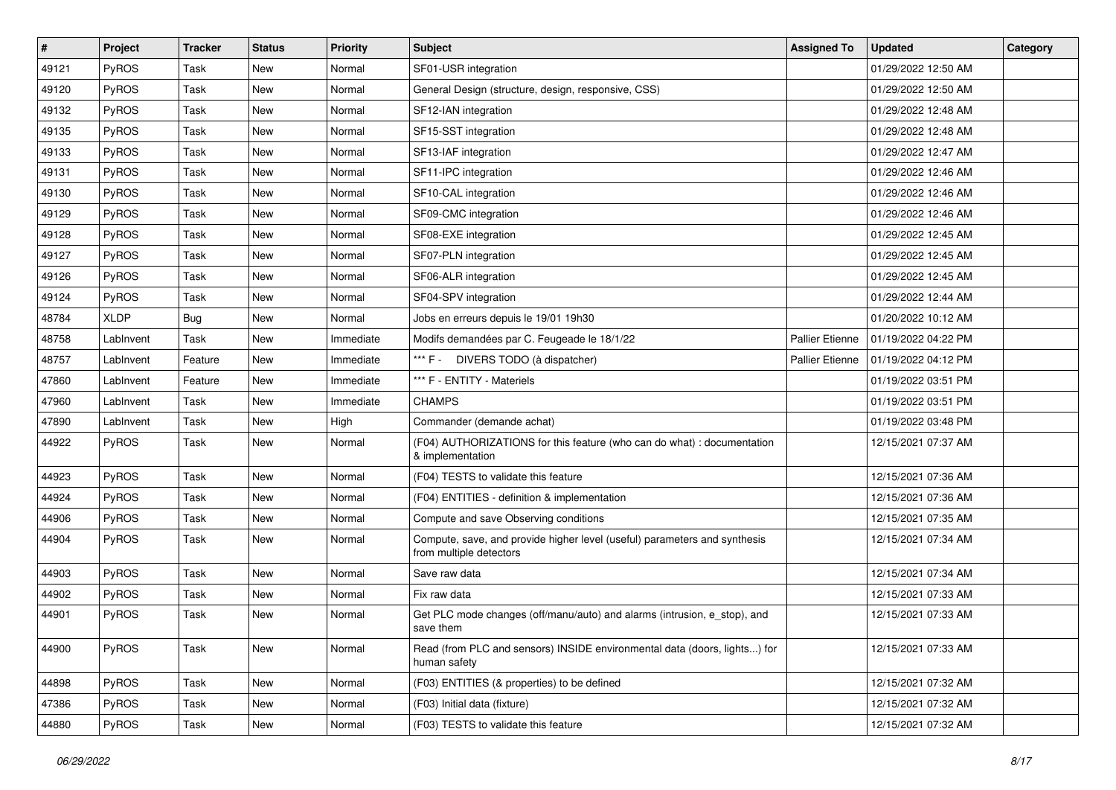| #     | Project     | <b>Tracker</b> | <b>Status</b> | <b>Priority</b> | <b>Subject</b>                                                                                       | <b>Assigned To</b>     | <b>Updated</b>      | Category |
|-------|-------------|----------------|---------------|-----------------|------------------------------------------------------------------------------------------------------|------------------------|---------------------|----------|
| 49121 | PyROS       | Task           | <b>New</b>    | Normal          | SF01-USR integration                                                                                 |                        | 01/29/2022 12:50 AM |          |
| 49120 | PyROS       | Task           | <b>New</b>    | Normal          | General Design (structure, design, responsive, CSS)                                                  |                        | 01/29/2022 12:50 AM |          |
| 49132 | PyROS       | Task           | New           | Normal          | SF12-IAN integration                                                                                 |                        | 01/29/2022 12:48 AM |          |
| 49135 | PyROS       | Task           | <b>New</b>    | Normal          | SF15-SST integration                                                                                 |                        | 01/29/2022 12:48 AM |          |
| 49133 | PyROS       | Task           | New           | Normal          | SF13-IAF integration                                                                                 |                        | 01/29/2022 12:47 AM |          |
| 49131 | PyROS       | Task           | New           | Normal          | SF11-IPC integration                                                                                 |                        | 01/29/2022 12:46 AM |          |
| 49130 | PyROS       | Task           | <b>New</b>    | Normal          | SF10-CAL integration                                                                                 |                        | 01/29/2022 12:46 AM |          |
| 49129 | PyROS       | Task           | New           | Normal          | SF09-CMC integration                                                                                 |                        | 01/29/2022 12:46 AM |          |
| 49128 | PyROS       | Task           | New           | Normal          | SF08-EXE integration                                                                                 |                        | 01/29/2022 12:45 AM |          |
| 49127 | PyROS       | Task           | New           | Normal          | SF07-PLN integration                                                                                 |                        | 01/29/2022 12:45 AM |          |
| 49126 | PyROS       | Task           | New           | Normal          | SF06-ALR integration                                                                                 |                        | 01/29/2022 12:45 AM |          |
| 49124 | PyROS       | Task           | <b>New</b>    | Normal          | SF04-SPV integration                                                                                 |                        | 01/29/2022 12:44 AM |          |
| 48784 | <b>XLDP</b> | Bug            | New           | Normal          | Jobs en erreurs depuis le 19/01 19h30                                                                |                        | 01/20/2022 10:12 AM |          |
| 48758 | LabInvent   | Task           | <b>New</b>    | Immediate       | Modifs demandées par C. Feugeade le 18/1/22                                                          | <b>Pallier Etienne</b> | 01/19/2022 04:22 PM |          |
| 48757 | LabInvent   | Feature        | New           | Immediate       | *** F -<br>DIVERS TODO (à dispatcher)                                                                | Pallier Etienne        | 01/19/2022 04:12 PM |          |
| 47860 | LabInvent   | Feature        | New           | Immediate       | *** F - ENTITY - Materiels                                                                           |                        | 01/19/2022 03:51 PM |          |
| 47960 | LabInvent   | Task           | <b>New</b>    | Immediate       | <b>CHAMPS</b>                                                                                        |                        | 01/19/2022 03:51 PM |          |
| 47890 | LabInvent   | Task           | <b>New</b>    | High            | Commander (demande achat)                                                                            |                        | 01/19/2022 03:48 PM |          |
| 44922 | PyROS       | Task           | <b>New</b>    | Normal          | (F04) AUTHORIZATIONS for this feature (who can do what) : documentation<br>& implementation          |                        | 12/15/2021 07:37 AM |          |
| 44923 | PyROS       | Task           | <b>New</b>    | Normal          | (F04) TESTS to validate this feature                                                                 |                        | 12/15/2021 07:36 AM |          |
| 44924 | PyROS       | Task           | <b>New</b>    | Normal          | (F04) ENTITIES - definition & implementation                                                         |                        | 12/15/2021 07:36 AM |          |
| 44906 | PyROS       | Task           | <b>New</b>    | Normal          | Compute and save Observing conditions                                                                |                        | 12/15/2021 07:35 AM |          |
| 44904 | PyROS       | Task           | New           | Normal          | Compute, save, and provide higher level (useful) parameters and synthesis<br>from multiple detectors |                        | 12/15/2021 07:34 AM |          |
| 44903 | PyROS       | Task           | <b>New</b>    | Normal          | Save raw data                                                                                        |                        | 12/15/2021 07:34 AM |          |
| 44902 | PyROS       | Task           | <b>New</b>    | Normal          | Fix raw data                                                                                         |                        | 12/15/2021 07:33 AM |          |
| 44901 | PyROS       | Task           | <b>New</b>    | Normal          | Get PLC mode changes (off/manu/auto) and alarms (intrusion, e_stop), and<br>save them                |                        | 12/15/2021 07:33 AM |          |
| 44900 | PyROS       | Task           | New           | Normal          | Read (from PLC and sensors) INSIDE environmental data (doors, lights) for<br>human safety            |                        | 12/15/2021 07:33 AM |          |
| 44898 | PyROS       | Task           | <b>New</b>    | Normal          | (F03) ENTITIES (& properties) to be defined                                                          |                        | 12/15/2021 07:32 AM |          |
| 47386 | PyROS       | Task           | New           | Normal          | (F03) Initial data (fixture)                                                                         |                        | 12/15/2021 07:32 AM |          |
| 44880 | PyROS       | Task           | New           | Normal          | (F03) TESTS to validate this feature                                                                 |                        | 12/15/2021 07:32 AM |          |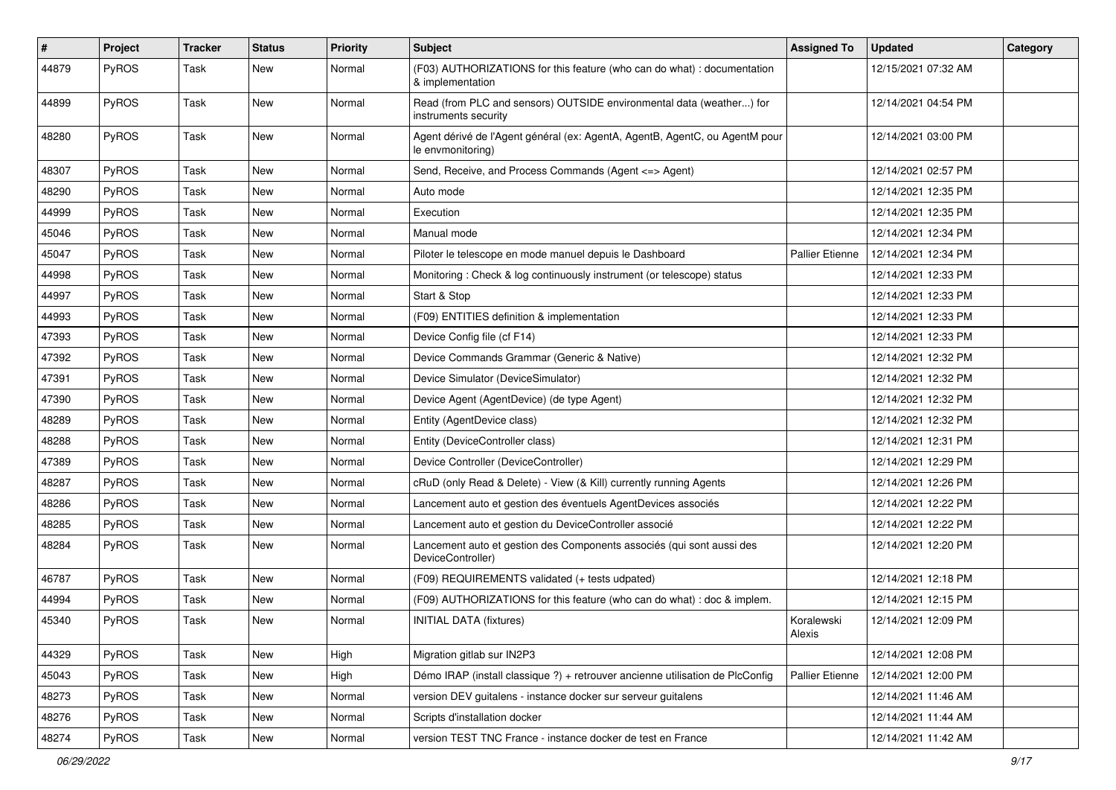| #     | Project      | <b>Tracker</b> | <b>Status</b> | <b>Priority</b> | <b>Subject</b>                                                                                   | <b>Assigned To</b>     | <b>Updated</b>      | Category |
|-------|--------------|----------------|---------------|-----------------|--------------------------------------------------------------------------------------------------|------------------------|---------------------|----------|
| 44879 | PyROS        | Task           | New           | Normal          | (F03) AUTHORIZATIONS for this feature (who can do what) : documentation<br>& implementation      |                        | 12/15/2021 07:32 AM |          |
| 44899 | PyROS        | Task           | New           | Normal          | Read (from PLC and sensors) OUTSIDE environmental data (weather) for<br>instruments security     |                        | 12/14/2021 04:54 PM |          |
| 48280 | PyROS        | Task           | New           | Normal          | Agent dérivé de l'Agent général (ex: AgentA, AgentB, AgentC, ou AgentM pour<br>le envmonitoring) |                        | 12/14/2021 03:00 PM |          |
| 48307 | PyROS        | Task           | New           | Normal          | Send, Receive, and Process Commands (Agent <= > Agent)                                           |                        | 12/14/2021 02:57 PM |          |
| 48290 | <b>PyROS</b> | Task           | New           | Normal          | Auto mode                                                                                        |                        | 12/14/2021 12:35 PM |          |
| 44999 | PyROS        | Task           | New           | Normal          | Execution                                                                                        |                        | 12/14/2021 12:35 PM |          |
| 45046 | PyROS        | Task           | New           | Normal          | Manual mode                                                                                      |                        | 12/14/2021 12:34 PM |          |
| 45047 | <b>PyROS</b> | Task           | New           | Normal          | Piloter le telescope en mode manuel depuis le Dashboard                                          | <b>Pallier Etienne</b> | 12/14/2021 12:34 PM |          |
| 44998 | PyROS        | Task           | New           | Normal          | Monitoring: Check & log continuously instrument (or telescope) status                            |                        | 12/14/2021 12:33 PM |          |
| 44997 | PyROS        | Task           | New           | Normal          | Start & Stop                                                                                     |                        | 12/14/2021 12:33 PM |          |
| 44993 | PyROS        | Task           | New           | Normal          | (F09) ENTITIES definition & implementation                                                       |                        | 12/14/2021 12:33 PM |          |
| 47393 | PyROS        | Task           | New           | Normal          | Device Config file (cf F14)                                                                      |                        | 12/14/2021 12:33 PM |          |
| 47392 | <b>PyROS</b> | Task           | New           | Normal          | Device Commands Grammar (Generic & Native)                                                       |                        | 12/14/2021 12:32 PM |          |
| 47391 | PyROS        | Task           | New           | Normal          | Device Simulator (DeviceSimulator)                                                               |                        | 12/14/2021 12:32 PM |          |
| 47390 | PyROS        | Task           | New           | Normal          | Device Agent (AgentDevice) (de type Agent)                                                       |                        | 12/14/2021 12:32 PM |          |
| 48289 | <b>PyROS</b> | Task           | New           | Normal          | Entity (AgentDevice class)                                                                       |                        | 12/14/2021 12:32 PM |          |
| 48288 | PyROS        | Task           | New           | Normal          | Entity (DeviceController class)                                                                  |                        | 12/14/2021 12:31 PM |          |
| 47389 | PyROS        | Task           | New           | Normal          | Device Controller (DeviceController)                                                             |                        | 12/14/2021 12:29 PM |          |
| 48287 | PyROS        | Task           | New           | Normal          | cRuD (only Read & Delete) - View (& Kill) currently running Agents                               |                        | 12/14/2021 12:26 PM |          |
| 48286 | PyROS        | Task           | New           | Normal          | Lancement auto et gestion des éventuels AgentDevices associés                                    |                        | 12/14/2021 12:22 PM |          |
| 48285 | <b>PyROS</b> | Task           | New           | Normal          | Lancement auto et gestion du DeviceController associé                                            |                        | 12/14/2021 12:22 PM |          |
| 48284 | PyROS        | Task           | New           | Normal          | Lancement auto et gestion des Components associés (qui sont aussi des<br>DeviceController)       |                        | 12/14/2021 12:20 PM |          |
| 46787 | PyROS        | Task           | New           | Normal          | (F09) REQUIREMENTS validated (+ tests udpated)                                                   |                        | 12/14/2021 12:18 PM |          |
| 44994 | PyROS        | Task           | New           | Normal          | (F09) AUTHORIZATIONS for this feature (who can do what) : doc & implem.                          |                        | 12/14/2021 12:15 PM |          |
| 45340 | PyROS        | Task           | New           | Normal          | <b>INITIAL DATA (fixtures)</b>                                                                   | Koralewski<br>Alexis   | 12/14/2021 12:09 PM |          |
| 44329 | PyROS        | Task           | New           | High            | Migration gitlab sur IN2P3                                                                       |                        | 12/14/2021 12:08 PM |          |
| 45043 | PyROS        | Task           | New           | High            | Démo IRAP (install classique ?) + retrouver ancienne utilisation de PlcConfig                    | Pallier Etienne        | 12/14/2021 12:00 PM |          |
| 48273 | PyROS        | Task           | New           | Normal          | version DEV guitalens - instance docker sur serveur guitalens                                    |                        | 12/14/2021 11:46 AM |          |
| 48276 | PyROS        | Task           | New           | Normal          | Scripts d'installation docker                                                                    |                        | 12/14/2021 11:44 AM |          |
| 48274 | PyROS        | Task           | New           | Normal          | version TEST TNC France - instance docker de test en France                                      |                        | 12/14/2021 11:42 AM |          |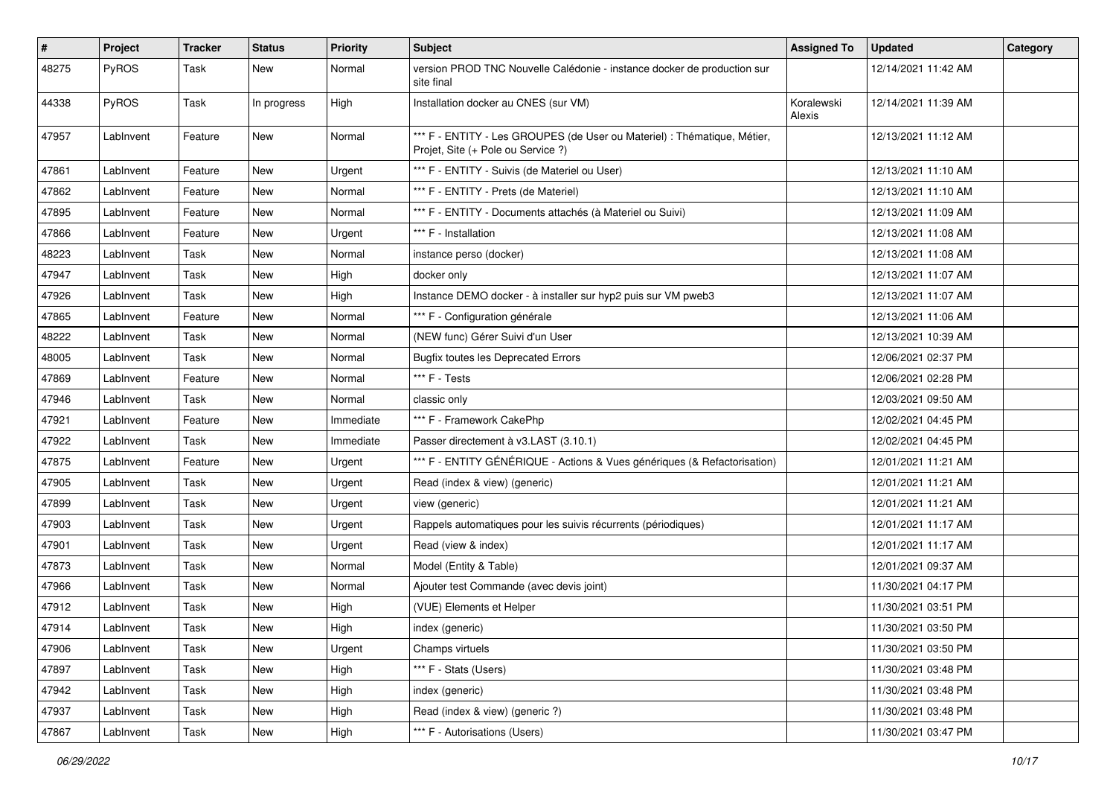| #     | Project   | <b>Tracker</b> | <b>Status</b> | <b>Priority</b> | <b>Subject</b>                                                                                                 | <b>Assigned To</b>   | <b>Updated</b>      | Category |
|-------|-----------|----------------|---------------|-----------------|----------------------------------------------------------------------------------------------------------------|----------------------|---------------------|----------|
| 48275 | PyROS     | Task           | New           | Normal          | version PROD TNC Nouvelle Calédonie - instance docker de production sur<br>site final                          |                      | 12/14/2021 11:42 AM |          |
| 44338 | PyROS     | Task           | In progress   | High            | Installation docker au CNES (sur VM)                                                                           | Koralewski<br>Alexis | 12/14/2021 11:39 AM |          |
| 47957 | LabInvent | Feature        | New           | Normal          | *** F - ENTITY - Les GROUPES (de User ou Materiel) : Thématique, Métier,<br>Projet, Site (+ Pole ou Service ?) |                      | 12/13/2021 11:12 AM |          |
| 47861 | LabInvent | Feature        | New           | Urgent          | *** F - ENTITY - Suivis (de Materiel ou User)                                                                  |                      | 12/13/2021 11:10 AM |          |
| 47862 | LabInvent | Feature        | New           | Normal          | *** F - ENTITY - Prets (de Materiel)                                                                           |                      | 12/13/2021 11:10 AM |          |
| 47895 | LabInvent | Feature        | New           | Normal          | *** F - ENTITY - Documents attachés (à Materiel ou Suivi)                                                      |                      | 12/13/2021 11:09 AM |          |
| 47866 | LabInvent | Feature        | New           | Urgent          | *** F - Installation                                                                                           |                      | 12/13/2021 11:08 AM |          |
| 48223 | LabInvent | Task           | New           | Normal          | instance perso (docker)                                                                                        |                      | 12/13/2021 11:08 AM |          |
| 47947 | LabInvent | Task           | New           | High            | docker only                                                                                                    |                      | 12/13/2021 11:07 AM |          |
| 47926 | LabInvent | Task           | New           | High            | Instance DEMO docker - à installer sur hyp2 puis sur VM pweb3                                                  |                      | 12/13/2021 11:07 AM |          |
| 47865 | LabInvent | Feature        | New           | Normal          | *** F - Configuration générale                                                                                 |                      | 12/13/2021 11:06 AM |          |
| 48222 | LabInvent | Task           | New           | Normal          | (NEW func) Gérer Suivi d'un User                                                                               |                      | 12/13/2021 10:39 AM |          |
| 48005 | LabInvent | Task           | New           | Normal          | <b>Bugfix toutes les Deprecated Errors</b>                                                                     |                      | 12/06/2021 02:37 PM |          |
| 47869 | LabInvent | Feature        | New           | Normal          | *** F - Tests                                                                                                  |                      | 12/06/2021 02:28 PM |          |
| 47946 | LabInvent | Task           | New           | Normal          | classic only                                                                                                   |                      | 12/03/2021 09:50 AM |          |
| 47921 | LabInvent | Feature        | New           | Immediate       | *** F - Framework CakePhp                                                                                      |                      | 12/02/2021 04:45 PM |          |
| 47922 | LabInvent | Task           | New           | Immediate       | Passer directement à v3.LAST (3.10.1)                                                                          |                      | 12/02/2021 04:45 PM |          |
| 47875 | LabInvent | Feature        | New           | Urgent          | *** F - ENTITY GÉNÉRIQUE - Actions & Vues génériques (& Refactorisation)                                       |                      | 12/01/2021 11:21 AM |          |
| 47905 | LabInvent | Task           | New           | Urgent          | Read (index & view) (generic)                                                                                  |                      | 12/01/2021 11:21 AM |          |
| 47899 | LabInvent | Task           | <b>New</b>    | Urgent          | view (generic)                                                                                                 |                      | 12/01/2021 11:21 AM |          |
| 47903 | LabInvent | Task           | New           | Urgent          | Rappels automatiques pour les suivis récurrents (périodiques)                                                  |                      | 12/01/2021 11:17 AM |          |
| 47901 | LabInvent | Task           | New           | Urgent          | Read (view & index)                                                                                            |                      | 12/01/2021 11:17 AM |          |
| 47873 | LabInvent | Task           | New           | Normal          | Model (Entity & Table)                                                                                         |                      | 12/01/2021 09:37 AM |          |
| 47966 | LabInvent | Task           | New           | Normal          | Ajouter test Commande (avec devis joint)                                                                       |                      | 11/30/2021 04:17 PM |          |
| 47912 | LabInvent | Task           | New           | High            | (VUE) Elements et Helper                                                                                       |                      | 11/30/2021 03:51 PM |          |
| 47914 | LabInvent | Task           | New           | High            | index (generic)                                                                                                |                      | 11/30/2021 03:50 PM |          |
| 47906 | LabInvent | Task           | New           | Urgent          | Champs virtuels                                                                                                |                      | 11/30/2021 03:50 PM |          |
| 47897 | LabInvent | Task           | New           | High            | *** F - Stats (Users)                                                                                          |                      | 11/30/2021 03:48 PM |          |
| 47942 | LabInvent | Task           | New           | High            | index (generic)                                                                                                |                      | 11/30/2021 03:48 PM |          |
| 47937 | LabInvent | Task           | New           | High            | Read (index & view) (generic ?)                                                                                |                      | 11/30/2021 03:48 PM |          |
| 47867 | LabInvent | Task           | New           | High            | *** F - Autorisations (Users)                                                                                  |                      | 11/30/2021 03:47 PM |          |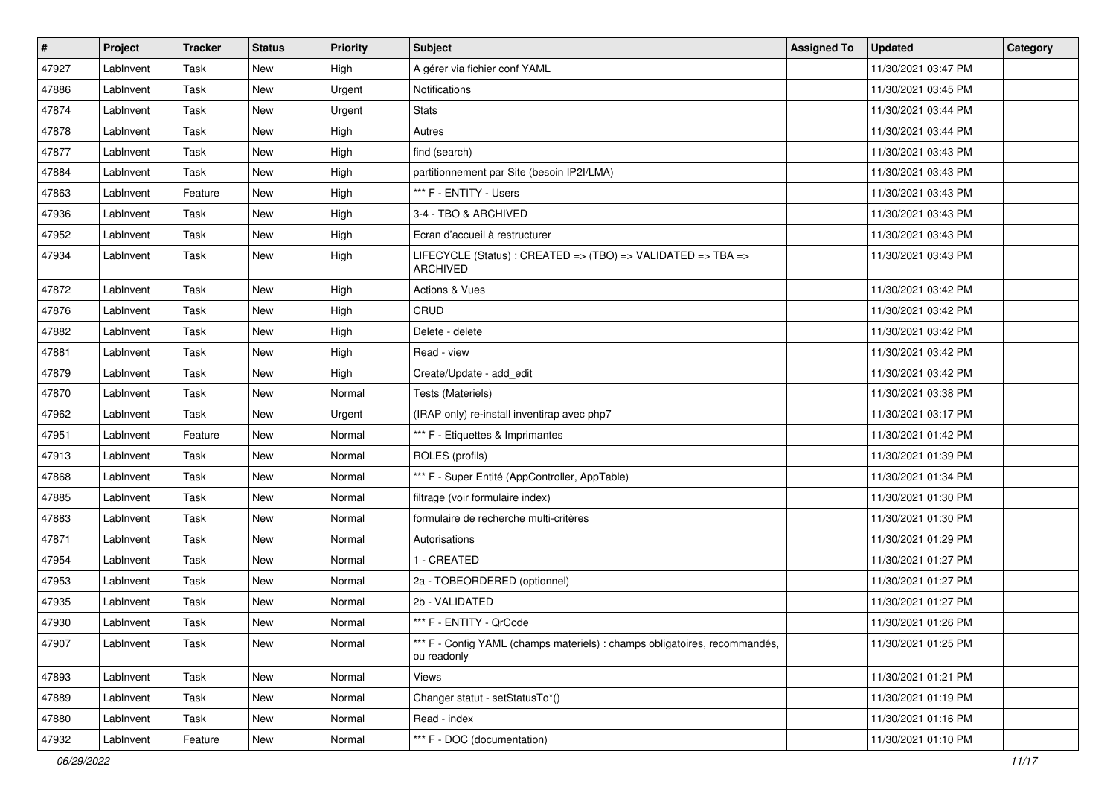| $\vert$ # | Project   | Tracker | <b>Status</b> | <b>Priority</b> | <b>Subject</b>                                                                            | <b>Assigned To</b> | <b>Updated</b>      | Category |
|-----------|-----------|---------|---------------|-----------------|-------------------------------------------------------------------------------------------|--------------------|---------------------|----------|
| 47927     | LabInvent | Task    | New           | High            | A gérer via fichier conf YAML                                                             |                    | 11/30/2021 03:47 PM |          |
| 47886     | Lablnvent | Task    | <b>New</b>    | Urgent          | Notifications                                                                             |                    | 11/30/2021 03:45 PM |          |
| 47874     | LabInvent | Task    | New           | Urgent          | <b>Stats</b>                                                                              |                    | 11/30/2021 03:44 PM |          |
| 47878     | LabInvent | Task    | New           | High            | Autres                                                                                    |                    | 11/30/2021 03:44 PM |          |
| 47877     | Lablnvent | Task    | <b>New</b>    | High            | find (search)                                                                             |                    | 11/30/2021 03:43 PM |          |
| 47884     | LabInvent | Task    | <b>New</b>    | High            | partitionnement par Site (besoin IP2I/LMA)                                                |                    | 11/30/2021 03:43 PM |          |
| 47863     | LabInvent | Feature | New           | High            | *** F - ENTITY - Users                                                                    |                    | 11/30/2021 03:43 PM |          |
| 47936     | LabInvent | Task    | New           | High            | 3-4 - TBO & ARCHIVED                                                                      |                    | 11/30/2021 03:43 PM |          |
| 47952     | LabInvent | Task    | New           | High            | Ecran d'accueil à restructurer                                                            |                    | 11/30/2021 03:43 PM |          |
| 47934     | LabInvent | Task    | <b>New</b>    | High            | LIFECYCLE (Status) : CREATED => (TBO) => VALIDATED => TBA =><br><b>ARCHIVED</b>           |                    | 11/30/2021 03:43 PM |          |
| 47872     | LabInvent | Task    | <b>New</b>    | High            | <b>Actions &amp; Vues</b>                                                                 |                    | 11/30/2021 03:42 PM |          |
| 47876     | LabInvent | Task    | New           | High            | CRUD                                                                                      |                    | 11/30/2021 03:42 PM |          |
| 47882     | LabInvent | Task    | New           | High            | Delete - delete                                                                           |                    | 11/30/2021 03:42 PM |          |
| 47881     | LabInvent | Task    | <b>New</b>    | High            | Read - view                                                                               |                    | 11/30/2021 03:42 PM |          |
| 47879     | LabInvent | Task    | <b>New</b>    | High            | Create/Update - add edit                                                                  |                    | 11/30/2021 03:42 PM |          |
| 47870     | LabInvent | Task    | New           | Normal          | Tests (Materiels)                                                                         |                    | 11/30/2021 03:38 PM |          |
| 47962     | Lablnvent | Task    | <b>New</b>    | Urgent          | (IRAP only) re-install inventirap avec php7                                               |                    | 11/30/2021 03:17 PM |          |
| 47951     | LabInvent | Feature | New           | Normal          | *** F - Etiquettes & Imprimantes                                                          |                    | 11/30/2021 01:42 PM |          |
| 47913     | LabInvent | Task    | <b>New</b>    | Normal          | ROLES (profils)                                                                           |                    | 11/30/2021 01:39 PM |          |
| 47868     | LabInvent | Task    | New           | Normal          | *** F - Super Entité (AppController, AppTable)                                            |                    | 11/30/2021 01:34 PM |          |
| 47885     | LabInvent | Task    | New           | Normal          | filtrage (voir formulaire index)                                                          |                    | 11/30/2021 01:30 PM |          |
| 47883     | LabInvent | Task    | <b>New</b>    | Normal          | formulaire de recherche multi-critères                                                    |                    | 11/30/2021 01:30 PM |          |
| 47871     | LabInvent | Task    | New           | Normal          | Autorisations                                                                             |                    | 11/30/2021 01:29 PM |          |
| 47954     | LabInvent | Task    | <b>New</b>    | Normal          | 1 - CREATED                                                                               |                    | 11/30/2021 01:27 PM |          |
| 47953     | LabInvent | Task    | New           | Normal          | 2a - TOBEORDERED (optionnel)                                                              |                    | 11/30/2021 01:27 PM |          |
| 47935     | LabInvent | Task    | New           | Normal          | 2b - VALIDATED                                                                            |                    | 11/30/2021 01:27 PM |          |
| 47930     | LabInvent | Task    | New           | Normal          | *** F - ENTITY - QrCode                                                                   |                    | 11/30/2021 01:26 PM |          |
| 47907     | LabInvent | Task    | New           | Normal          | *** F - Config YAML (champs materiels) : champs obligatoires, recommandés,<br>ou readonly |                    | 11/30/2021 01:25 PM |          |
| 47893     | LabInvent | Task    | New           | Normal          | Views                                                                                     |                    | 11/30/2021 01:21 PM |          |
| 47889     | LabInvent | Task    | New           | Normal          | Changer statut - setStatusTo*()                                                           |                    | 11/30/2021 01:19 PM |          |
| 47880     | LabInvent | Task    | New           | Normal          | Read - index                                                                              |                    | 11/30/2021 01:16 PM |          |
| 47932     | LabInvent | Feature | New           | Normal          | *** F - DOC (documentation)                                                               |                    | 11/30/2021 01:10 PM |          |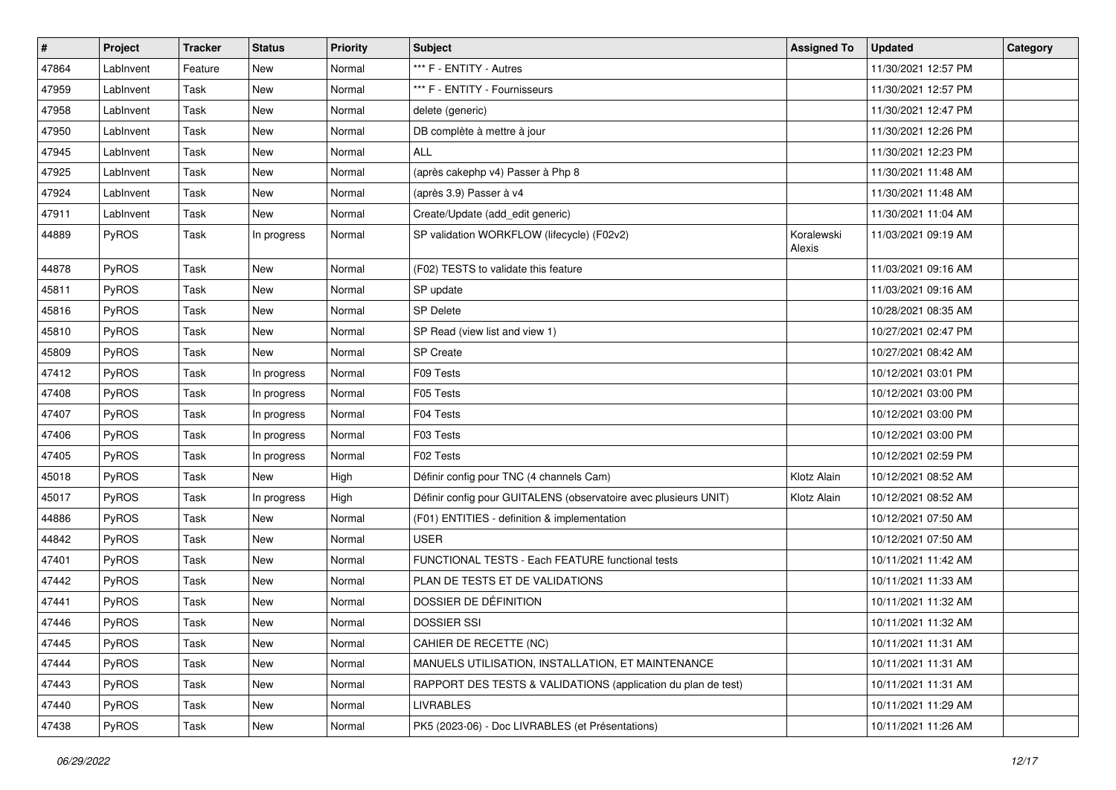| $\pmb{\#}$ | Project   | <b>Tracker</b> | <b>Status</b> | <b>Priority</b> | <b>Subject</b>                                                   | <b>Assigned To</b>   | <b>Updated</b>      | Category |
|------------|-----------|----------------|---------------|-----------------|------------------------------------------------------------------|----------------------|---------------------|----------|
| 47864      | LabInvent | Feature        | New           | Normal          | *** F - ENTITY - Autres                                          |                      | 11/30/2021 12:57 PM |          |
| 47959      | LabInvent | Task           | <b>New</b>    | Normal          | *** F - ENTITY - Fournisseurs                                    |                      | 11/30/2021 12:57 PM |          |
| 47958      | LabInvent | Task           | New           | Normal          | delete (generic)                                                 |                      | 11/30/2021 12:47 PM |          |
| 47950      | LabInvent | Task           | <b>New</b>    | Normal          | DB complète à mettre à jour                                      |                      | 11/30/2021 12:26 PM |          |
| 47945      | Lablnvent | Task           | <b>New</b>    | Normal          | <b>ALL</b>                                                       |                      | 11/30/2021 12:23 PM |          |
| 47925      | LabInvent | Task           | New           | Normal          | (après cakephp v4) Passer à Php 8                                |                      | 11/30/2021 11:48 AM |          |
| 47924      | LabInvent | Task           | New           | Normal          | (après 3.9) Passer à v4                                          |                      | 11/30/2021 11:48 AM |          |
| 47911      | LabInvent | Task           | New           | Normal          | Create/Update (add_edit generic)                                 |                      | 11/30/2021 11:04 AM |          |
| 44889      | PyROS     | Task           | In progress   | Normal          | SP validation WORKFLOW (lifecycle) (F02v2)                       | Koralewski<br>Alexis | 11/03/2021 09:19 AM |          |
| 44878      | PyROS     | Task           | <b>New</b>    | Normal          | (F02) TESTS to validate this feature                             |                      | 11/03/2021 09:16 AM |          |
| 45811      | PyROS     | Task           | <b>New</b>    | Normal          | SP update                                                        |                      | 11/03/2021 09:16 AM |          |
| 45816      | PyROS     | Task           | New           | Normal          | SP Delete                                                        |                      | 10/28/2021 08:35 AM |          |
| 45810      | PyROS     | Task           | <b>New</b>    | Normal          | SP Read (view list and view 1)                                   |                      | 10/27/2021 02:47 PM |          |
| 45809      | PyROS     | Task           | <b>New</b>    | Normal          | SP Create                                                        |                      | 10/27/2021 08:42 AM |          |
| 47412      | PyROS     | Task           | In progress   | Normal          | F09 Tests                                                        |                      | 10/12/2021 03:01 PM |          |
| 47408      | PyROS     | Task           | In progress   | Normal          | F05 Tests                                                        |                      | 10/12/2021 03:00 PM |          |
| 47407      | PyROS     | Task           | In progress   | Normal          | F04 Tests                                                        |                      | 10/12/2021 03:00 PM |          |
| 47406      | PyROS     | Task           | In progress   | Normal          | F03 Tests                                                        |                      | 10/12/2021 03:00 PM |          |
| 47405      | PyROS     | Task           | In progress   | Normal          | F02 Tests                                                        |                      | 10/12/2021 02:59 PM |          |
| 45018      | PyROS     | Task           | New           | High            | Définir config pour TNC (4 channels Cam)                         | Klotz Alain          | 10/12/2021 08:52 AM |          |
| 45017      | PyROS     | Task           | In progress   | High            | Définir config pour GUITALENS (observatoire avec plusieurs UNIT) | Klotz Alain          | 10/12/2021 08:52 AM |          |
| 44886      | PyROS     | Task           | <b>New</b>    | Normal          | (F01) ENTITIES - definition & implementation                     |                      | 10/12/2021 07:50 AM |          |
| 44842      | PyROS     | Task           | New           | Normal          | USER                                                             |                      | 10/12/2021 07:50 AM |          |
| 47401      | PyROS     | Task           | <b>New</b>    | Normal          | FUNCTIONAL TESTS - Each FEATURE functional tests                 |                      | 10/11/2021 11:42 AM |          |
| 47442      | PyROS     | Task           | New           | Normal          | PLAN DE TESTS ET DE VALIDATIONS                                  |                      | 10/11/2021 11:33 AM |          |
| 47441      | PyROS     | Task           | New           | Normal          | DOSSIER DE DÉFINITION                                            |                      | 10/11/2021 11:32 AM |          |
| 47446      | PyROS     | Task           | <b>New</b>    | Normal          | <b>DOSSIER SSI</b>                                               |                      | 10/11/2021 11:32 AM |          |
| 47445      | PyROS     | Task           | New           | Normal          | CAHIER DE RECETTE (NC)                                           |                      | 10/11/2021 11:31 AM |          |
| 47444      | PyROS     | Task           | New           | Normal          | MANUELS UTILISATION, INSTALLATION, ET MAINTENANCE                |                      | 10/11/2021 11:31 AM |          |
| 47443      | PyROS     | Task           | New           | Normal          | RAPPORT DES TESTS & VALIDATIONS (application du plan de test)    |                      | 10/11/2021 11:31 AM |          |
| 47440      | PyROS     | Task           | New           | Normal          | <b>LIVRABLES</b>                                                 |                      | 10/11/2021 11:29 AM |          |
| 47438      | PyROS     | Task           | New           | Normal          | PK5 (2023-06) - Doc LIVRABLES (et Présentations)                 |                      | 10/11/2021 11:26 AM |          |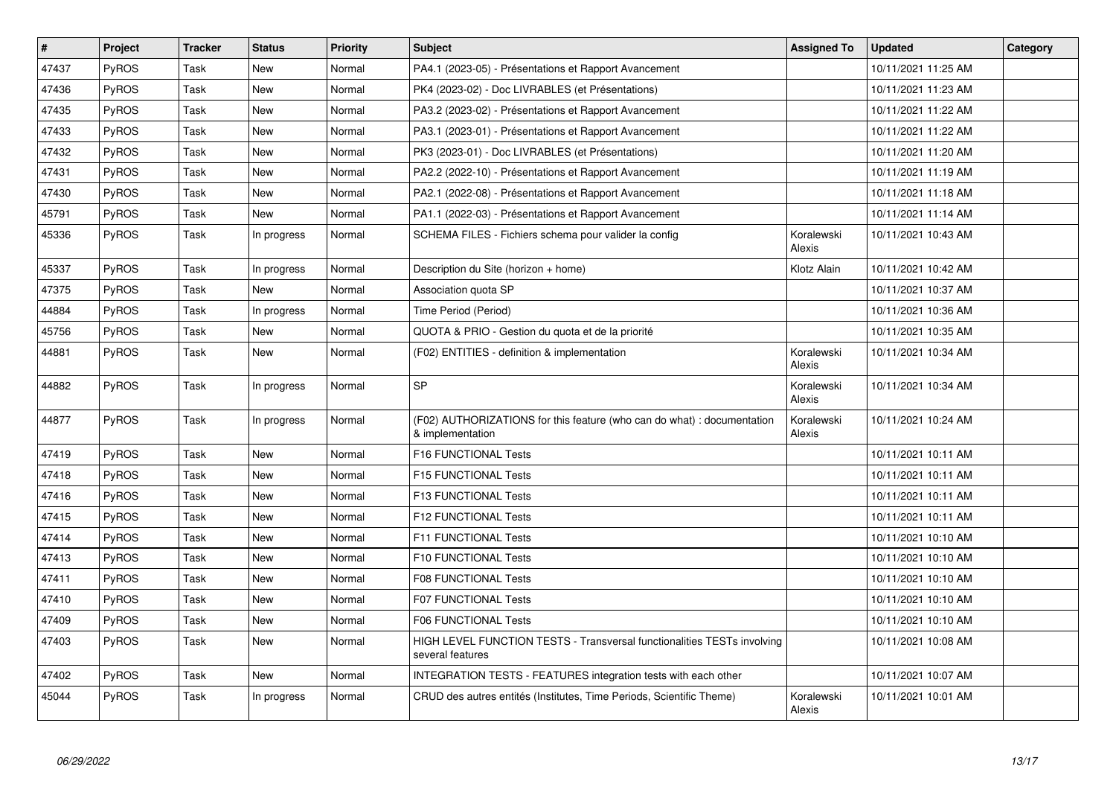| #     | Project      | <b>Tracker</b> | <b>Status</b> | Priority | <b>Subject</b>                                                                              | <b>Assigned To</b>   | <b>Updated</b>      | Category |
|-------|--------------|----------------|---------------|----------|---------------------------------------------------------------------------------------------|----------------------|---------------------|----------|
| 47437 | PyROS        | Task           | New           | Normal   | PA4.1 (2023-05) - Présentations et Rapport Avancement                                       |                      | 10/11/2021 11:25 AM |          |
| 47436 | PyROS        | Task           | New           | Normal   | PK4 (2023-02) - Doc LIVRABLES (et Présentations)                                            |                      | 10/11/2021 11:23 AM |          |
| 47435 | PyROS        | Task           | New           | Normal   | PA3.2 (2023-02) - Présentations et Rapport Avancement                                       |                      | 10/11/2021 11:22 AM |          |
| 47433 | PyROS        | Task           | New           | Normal   | PA3.1 (2023-01) - Présentations et Rapport Avancement                                       |                      | 10/11/2021 11:22 AM |          |
| 47432 | <b>PyROS</b> | Task           | New           | Normal   | PK3 (2023-01) - Doc LIVRABLES (et Présentations)                                            |                      | 10/11/2021 11:20 AM |          |
| 47431 | PyROS        | Task           | New           | Normal   | PA2.2 (2022-10) - Présentations et Rapport Avancement                                       |                      | 10/11/2021 11:19 AM |          |
| 47430 | <b>PyROS</b> | Task           | New           | Normal   | PA2.1 (2022-08) - Présentations et Rapport Avancement                                       |                      | 10/11/2021 11:18 AM |          |
| 45791 | PyROS        | Task           | New           | Normal   | PA1.1 (2022-03) - Présentations et Rapport Avancement                                       |                      | 10/11/2021 11:14 AM |          |
| 45336 | <b>PyROS</b> | Task           | In progress   | Normal   | SCHEMA FILES - Fichiers schema pour valider la config                                       | Koralewski<br>Alexis | 10/11/2021 10:43 AM |          |
| 45337 | <b>PyROS</b> | Task           | In progress   | Normal   | Description du Site (horizon + home)                                                        | Klotz Alain          | 10/11/2021 10:42 AM |          |
| 47375 | PyROS        | Task           | New           | Normal   | Association quota SP                                                                        |                      | 10/11/2021 10:37 AM |          |
| 44884 | <b>PyROS</b> | Task           | In progress   | Normal   | Time Period (Period)                                                                        |                      | 10/11/2021 10:36 AM |          |
| 45756 | PyROS        | Task           | <b>New</b>    | Normal   | QUOTA & PRIO - Gestion du quota et de la priorité                                           |                      | 10/11/2021 10:35 AM |          |
| 44881 | <b>PyROS</b> | Task           | New           | Normal   | (F02) ENTITIES - definition & implementation                                                | Koralewski<br>Alexis | 10/11/2021 10:34 AM |          |
| 44882 | PyROS        | Task           | In progress   | Normal   | SP                                                                                          | Koralewski<br>Alexis | 10/11/2021 10:34 AM |          |
| 44877 | PyROS        | Task           | In progress   | Normal   | (F02) AUTHORIZATIONS for this feature (who can do what) : documentation<br>& implementation | Koralewski<br>Alexis | 10/11/2021 10:24 AM |          |
| 47419 | PyROS        | Task           | New           | Normal   | F16 FUNCTIONAL Tests                                                                        |                      | 10/11/2021 10:11 AM |          |
| 47418 | <b>PyROS</b> | Task           | New           | Normal   | <b>F15 FUNCTIONAL Tests</b>                                                                 |                      | 10/11/2021 10:11 AM |          |
| 47416 | PyROS        | Task           | New           | Normal   | <b>F13 FUNCTIONAL Tests</b>                                                                 |                      | 10/11/2021 10:11 AM |          |
| 47415 | PyROS        | Task           | <b>New</b>    | Normal   | <b>F12 FUNCTIONAL Tests</b>                                                                 |                      | 10/11/2021 10:11 AM |          |
| 47414 | PyROS        | Task           | <b>New</b>    | Normal   | F11 FUNCTIONAL Tests                                                                        |                      | 10/11/2021 10:10 AM |          |
| 47413 | PyROS        | Task           | New           | Normal   | <b>F10 FUNCTIONAL Tests</b>                                                                 |                      | 10/11/2021 10:10 AM |          |
| 47411 | PyROS        | Task           | <b>New</b>    | Normal   | <b>F08 FUNCTIONAL Tests</b>                                                                 |                      | 10/11/2021 10:10 AM |          |
| 47410 | PyROS        | Task           | New           | Normal   | F07 FUNCTIONAL Tests                                                                        |                      | 10/11/2021 10:10 AM |          |
| 47409 | PyROS        | Task           | New           | Normal   | <b>F06 FUNCTIONAL Tests</b>                                                                 |                      | 10/11/2021 10:10 AM |          |
| 47403 | PyROS        | Task           | New           | Normal   | HIGH LEVEL FUNCTION TESTS - Transversal functionalities TESTs involving<br>several features |                      | 10/11/2021 10:08 AM |          |
| 47402 | PyROS        | Task           | <b>New</b>    | Normal   | INTEGRATION TESTS - FEATURES integration tests with each other                              |                      | 10/11/2021 10:07 AM |          |
| 45044 | <b>PyROS</b> | Task           | In progress   | Normal   | CRUD des autres entités (Institutes, Time Periods, Scientific Theme)                        | Koralewski<br>Alexis | 10/11/2021 10:01 AM |          |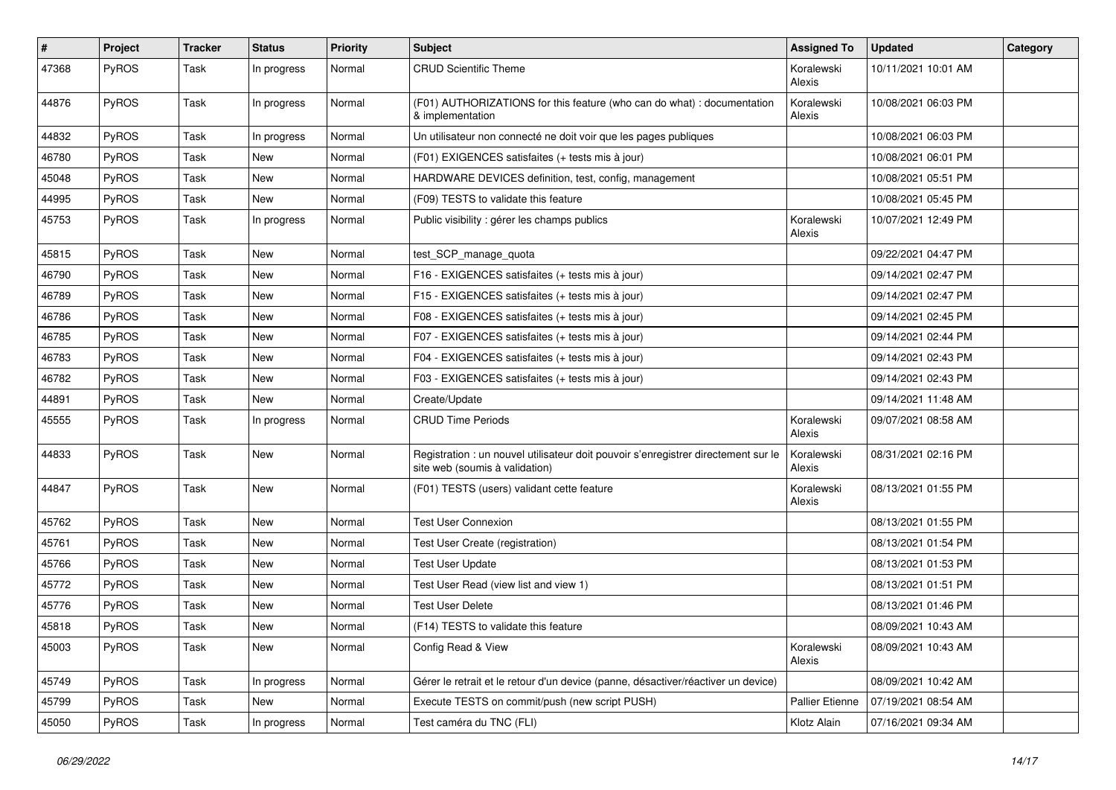| #     | Project      | Tracker | <b>Status</b> | <b>Priority</b> | Subject                                                                                                              | <b>Assigned To</b>   | <b>Updated</b>      | Category |
|-------|--------------|---------|---------------|-----------------|----------------------------------------------------------------------------------------------------------------------|----------------------|---------------------|----------|
| 47368 | PyROS        | Task    | In progress   | Normal          | <b>CRUD Scientific Theme</b>                                                                                         | Koralewski<br>Alexis | 10/11/2021 10:01 AM |          |
| 44876 | PyROS        | Task    | In progress   | Normal          | (F01) AUTHORIZATIONS for this feature (who can do what) : documentation<br>& implementation                          | Koralewski<br>Alexis | 10/08/2021 06:03 PM |          |
| 44832 | PyROS        | Task    | In progress   | Normal          | Un utilisateur non connecté ne doit voir que les pages publiques                                                     |                      | 10/08/2021 06:03 PM |          |
| 46780 | PyROS        | Task    | New           | Normal          | (F01) EXIGENCES satisfaites (+ tests mis à jour)                                                                     |                      | 10/08/2021 06:01 PM |          |
| 45048 | PyROS        | Task    | New           | Normal          | HARDWARE DEVICES definition, test, config, management                                                                |                      | 10/08/2021 05:51 PM |          |
| 44995 | PyROS        | Task    | New           | Normal          | (F09) TESTS to validate this feature                                                                                 |                      | 10/08/2021 05:45 PM |          |
| 45753 | PyROS        | Task    | In progress   | Normal          | Public visibility : gérer les champs publics                                                                         | Koralewski<br>Alexis | 10/07/2021 12:49 PM |          |
| 45815 | PyROS        | Task    | New           | Normal          | test_SCP_manage_quota                                                                                                |                      | 09/22/2021 04:47 PM |          |
| 46790 | PyROS        | Task    | New           | Normal          | F16 - EXIGENCES satisfaites (+ tests mis à jour)                                                                     |                      | 09/14/2021 02:47 PM |          |
| 46789 | PyROS        | Task    | New           | Normal          | F15 - EXIGENCES satisfaites (+ tests mis à jour)                                                                     |                      | 09/14/2021 02:47 PM |          |
| 46786 | PyROS        | Task    | New           | Normal          | F08 - EXIGENCES satisfaites (+ tests mis à jour)                                                                     |                      | 09/14/2021 02:45 PM |          |
| 46785 | PyROS        | Task    | New           | Normal          | F07 - EXIGENCES satisfaites (+ tests mis à jour)                                                                     |                      | 09/14/2021 02:44 PM |          |
| 46783 | <b>PyROS</b> | Task    | New           | Normal          | F04 - EXIGENCES satisfaites (+ tests mis à jour)                                                                     |                      | 09/14/2021 02:43 PM |          |
| 46782 | PyROS        | Task    | New           | Normal          | F03 - EXIGENCES satisfaites (+ tests mis à jour)                                                                     |                      | 09/14/2021 02:43 PM |          |
| 44891 | PyROS        | Task    | <b>New</b>    | Normal          | Create/Update                                                                                                        |                      | 09/14/2021 11:48 AM |          |
| 45555 | <b>PyROS</b> | Task    | In progress   | Normal          | CRUD Time Periods                                                                                                    | Koralewski<br>Alexis | 09/07/2021 08:58 AM |          |
| 44833 | PyROS        | Task    | New           | Normal          | Registration : un nouvel utilisateur doit pouvoir s'enregistrer directement sur le<br>site web (soumis à validation) | Koralewski<br>Alexis | 08/31/2021 02:16 PM |          |
| 44847 | PyROS        | Task    | New           | Normal          | (F01) TESTS (users) validant cette feature                                                                           | Koralewski<br>Alexis | 08/13/2021 01:55 PM |          |
| 45762 | PyROS        | Task    | New           | Normal          | <b>Test User Connexion</b>                                                                                           |                      | 08/13/2021 01:55 PM |          |
| 45761 | PyROS        | Task    | New           | Normal          | Test User Create (registration)                                                                                      |                      | 08/13/2021 01:54 PM |          |
| 45766 | <b>PyROS</b> | Task    | New           | Normal          | <b>Test User Update</b>                                                                                              |                      | 08/13/2021 01:53 PM |          |
| 45772 | PyROS        | Task    | New           | Normal          | Test User Read (view list and view 1)                                                                                |                      | 08/13/2021 01:51 PM |          |
| 45776 | <b>PyROS</b> | Task    | New           | Normal          | <b>Test User Delete</b>                                                                                              |                      | 08/13/2021 01:46 PM |          |
| 45818 | PyROS        | Task    | New           | Normal          | (F14) TESTS to validate this feature                                                                                 |                      | 08/09/2021 10:43 AM |          |
| 45003 | PyROS        | Task    | New           | Normal          | Config Read & View                                                                                                   | Koralewski<br>Alexis | 08/09/2021 10:43 AM |          |
| 45749 | PyROS        | Task    | In progress   | Normal          | Gérer le retrait et le retour d'un device (panne, désactiver/réactiver un device)                                    |                      | 08/09/2021 10:42 AM |          |
| 45799 | PyROS        | Task    | New           | Normal          | Execute TESTS on commit/push (new script PUSH)                                                                       | Pallier Etienne      | 07/19/2021 08:54 AM |          |
| 45050 | PyROS        | Task    | In progress   | Normal          | Test caméra du TNC (FLI)                                                                                             | Klotz Alain          | 07/16/2021 09:34 AM |          |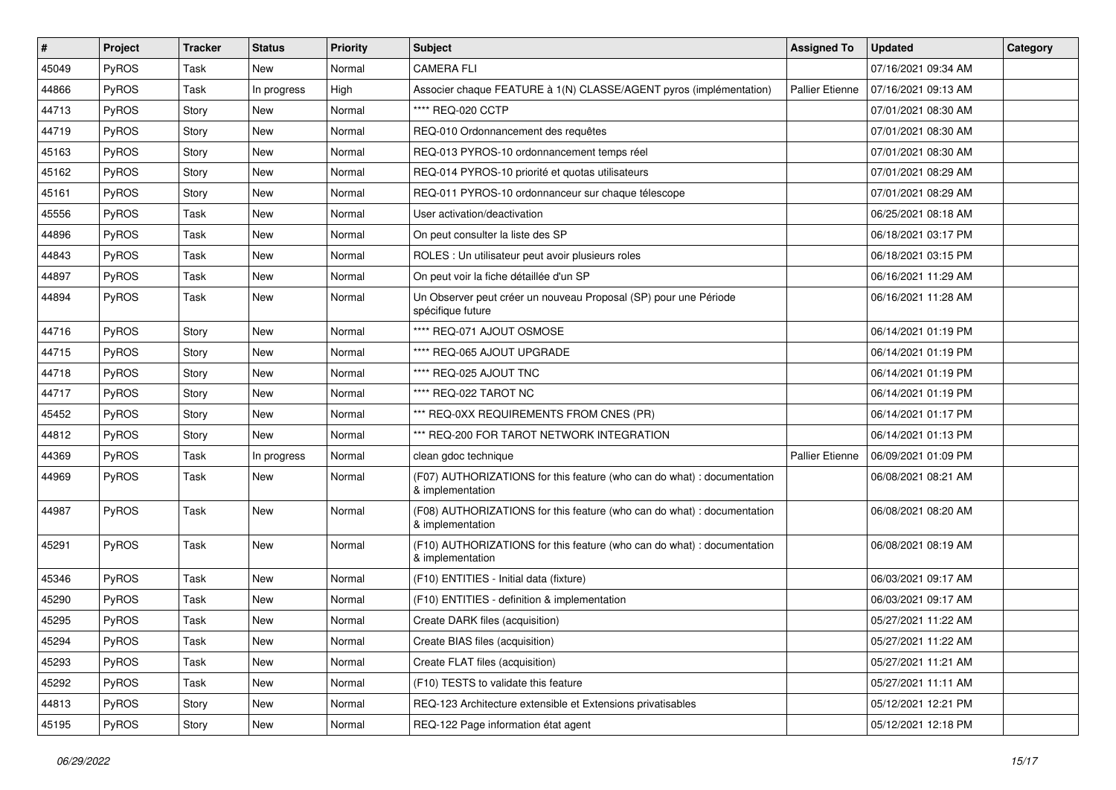| #     | Project      | <b>Tracker</b> | <b>Status</b> | <b>Priority</b> | Subject                                                                                     | <b>Assigned To</b>     | <b>Updated</b>      | Category |
|-------|--------------|----------------|---------------|-----------------|---------------------------------------------------------------------------------------------|------------------------|---------------------|----------|
| 45049 | PyROS        | Task           | New           | Normal          | <b>CAMERA FLI</b>                                                                           |                        | 07/16/2021 09:34 AM |          |
| 44866 | PyROS        | Task           | In progress   | High            | Associer chaque FEATURE à 1(N) CLASSE/AGENT pyros (implémentation)                          | <b>Pallier Etienne</b> | 07/16/2021 09:13 AM |          |
| 44713 | PyROS        | Story          | New           | Normal          | **** REQ-020 CCTP                                                                           |                        | 07/01/2021 08:30 AM |          |
| 44719 | PyROS        | Story          | New           | Normal          | REQ-010 Ordonnancement des requêtes                                                         |                        | 07/01/2021 08:30 AM |          |
| 45163 | PyROS        | Story          | <b>New</b>    | Normal          | REQ-013 PYROS-10 ordonnancement temps réel                                                  |                        | 07/01/2021 08:30 AM |          |
| 45162 | PyROS        | Story          | New           | Normal          | REQ-014 PYROS-10 priorité et quotas utilisateurs                                            |                        | 07/01/2021 08:29 AM |          |
| 45161 | PyROS        | Story          | New           | Normal          | REQ-011 PYROS-10 ordonnanceur sur chaque télescope                                          |                        | 07/01/2021 08:29 AM |          |
| 45556 | PyROS        | Task           | New           | Normal          | User activation/deactivation                                                                |                        | 06/25/2021 08:18 AM |          |
| 44896 | PyROS        | Task           | New           | Normal          | On peut consulter la liste des SP                                                           |                        | 06/18/2021 03:17 PM |          |
| 44843 | PyROS        | Task           | New           | Normal          | ROLES : Un utilisateur peut avoir plusieurs roles                                           |                        | 06/18/2021 03:15 PM |          |
| 44897 | <b>PyROS</b> | Task           | New           | Normal          | On peut voir la fiche détaillée d'un SP                                                     |                        | 06/16/2021 11:29 AM |          |
| 44894 | <b>PyROS</b> | Task           | New           | Normal          | Un Observer peut créer un nouveau Proposal (SP) pour une Période<br>spécifique future       |                        | 06/16/2021 11:28 AM |          |
| 44716 | PyROS        | Story          | New           | Normal          | **** REQ-071 AJOUT OSMOSE                                                                   |                        | 06/14/2021 01:19 PM |          |
| 44715 | PyROS        | Story          | New           | Normal          | **** REQ-065 AJOUT UPGRADE                                                                  |                        | 06/14/2021 01:19 PM |          |
| 44718 | <b>PyROS</b> | Story          | New           | Normal          | **** REQ-025 AJOUT TNC                                                                      |                        | 06/14/2021 01:19 PM |          |
| 44717 | PyROS        | Story          | New           | Normal          | **** REQ-022 TAROT NC                                                                       |                        | 06/14/2021 01:19 PM |          |
| 45452 | PyROS        | Story          | <b>New</b>    | Normal          | *** REQ-0XX REQUIREMENTS FROM CNES (PR)                                                     |                        | 06/14/2021 01:17 PM |          |
| 44812 | <b>PyROS</b> | Story          | New           | Normal          | *** REQ-200 FOR TAROT NETWORK INTEGRATION                                                   |                        | 06/14/2021 01:13 PM |          |
| 44369 | PyROS        | Task           | In progress   | Normal          | clean gdoc technique                                                                        | Pallier Etienne        | 06/09/2021 01:09 PM |          |
| 44969 | PyROS        | Task           | New           | Normal          | (F07) AUTHORIZATIONS for this feature (who can do what) : documentation<br>& implementation |                        | 06/08/2021 08:21 AM |          |
| 44987 | PyROS        | Task           | New           | Normal          | (F08) AUTHORIZATIONS for this feature (who can do what) : documentation<br>& implementation |                        | 06/08/2021 08:20 AM |          |
| 45291 | PyROS        | Task           | New           | Normal          | (F10) AUTHORIZATIONS for this feature (who can do what) : documentation<br>& implementation |                        | 06/08/2021 08:19 AM |          |
| 45346 | PyROS        | Task           | <b>New</b>    | Normal          | (F10) ENTITIES - Initial data (fixture)                                                     |                        | 06/03/2021 09:17 AM |          |
| 45290 | PyROS        | Task           | New           | Normal          | (F10) ENTITIES - definition & implementation                                                |                        | 06/03/2021 09:17 AM |          |
| 45295 | PyROS        | Task           | New           | Normal          | Create DARK files (acquisition)                                                             |                        | 05/27/2021 11:22 AM |          |
| 45294 | PyROS        | Task           | New           | Normal          | Create BIAS files (acquisition)                                                             |                        | 05/27/2021 11:22 AM |          |
| 45293 | PyROS        | Task           | New           | Normal          | Create FLAT files (acquisition)                                                             |                        | 05/27/2021 11:21 AM |          |
| 45292 | PyROS        | Task           | New           | Normal          | (F10) TESTS to validate this feature                                                        |                        | 05/27/2021 11:11 AM |          |
| 44813 | PyROS        | Story          | New           | Normal          | REQ-123 Architecture extensible et Extensions privatisables                                 |                        | 05/12/2021 12:21 PM |          |
| 45195 | PyROS        | Story          | New           | Normal          | REQ-122 Page information état agent                                                         |                        | 05/12/2021 12:18 PM |          |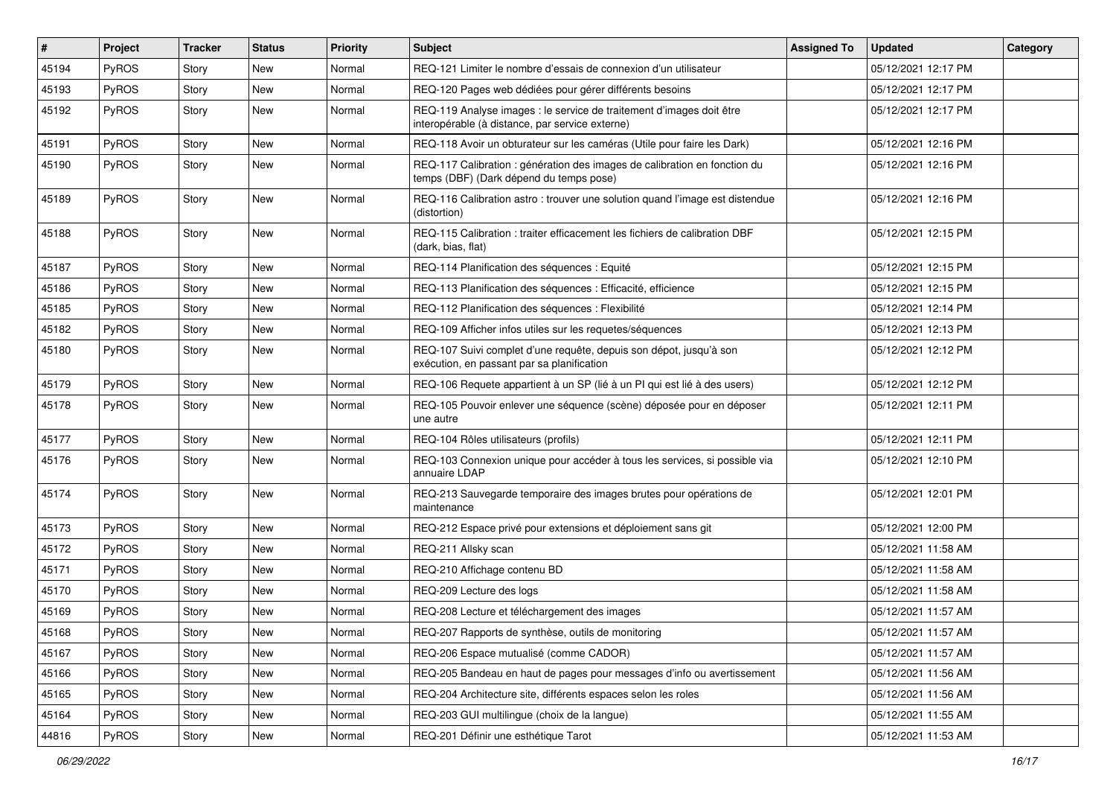| $\#$  | Project      | <b>Tracker</b> | <b>Status</b> | <b>Priority</b> | <b>Subject</b>                                                                                                          | <b>Assigned To</b> | <b>Updated</b>      | Category |
|-------|--------------|----------------|---------------|-----------------|-------------------------------------------------------------------------------------------------------------------------|--------------------|---------------------|----------|
| 45194 | PyROS        | Story          | New           | Normal          | REQ-121 Limiter le nombre d'essais de connexion d'un utilisateur                                                        |                    | 05/12/2021 12:17 PM |          |
| 45193 | PyROS        | Story          | <b>New</b>    | Normal          | REQ-120 Pages web dédiées pour gérer différents besoins                                                                 |                    | 05/12/2021 12:17 PM |          |
| 45192 | PyROS        | Story          | New           | Normal          | REQ-119 Analyse images : le service de traitement d'images doit être<br>interopérable (à distance, par service externe) |                    | 05/12/2021 12:17 PM |          |
| 45191 | PyROS        | Story          | <b>New</b>    | Normal          | REQ-118 Avoir un obturateur sur les caméras (Utile pour faire les Dark)                                                 |                    | 05/12/2021 12:16 PM |          |
| 45190 | PyROS        | Story          | New           | Normal          | REQ-117 Calibration : génération des images de calibration en fonction du<br>temps (DBF) (Dark dépend du temps pose)    |                    | 05/12/2021 12:16 PM |          |
| 45189 | PyROS        | Story          | New           | Normal          | REQ-116 Calibration astro: trouver une solution quand l'image est distendue<br>(distortion)                             |                    | 05/12/2021 12:16 PM |          |
| 45188 | PyROS        | Story          | New           | Normal          | REQ-115 Calibration: traiter efficacement les fichiers de calibration DBF<br>(dark, bias, flat)                         |                    | 05/12/2021 12:15 PM |          |
| 45187 | PyROS        | Story          | New           | Normal          | REQ-114 Planification des séquences : Equité                                                                            |                    | 05/12/2021 12:15 PM |          |
| 45186 | PyROS        | Story          | <b>New</b>    | Normal          | REQ-113 Planification des séquences : Efficacité, efficience                                                            |                    | 05/12/2021 12:15 PM |          |
| 45185 | <b>PyROS</b> | Story          | New           | Normal          | REQ-112 Planification des séquences : Flexibilité                                                                       |                    | 05/12/2021 12:14 PM |          |
| 45182 | PyROS        | Story          | New           | Normal          | REQ-109 Afficher infos utiles sur les requetes/séquences                                                                |                    | 05/12/2021 12:13 PM |          |
| 45180 | PyROS        | Story          | New           | Normal          | REQ-107 Suivi complet d'une requête, depuis son dépot, jusqu'à son<br>exécution, en passant par sa planification        |                    | 05/12/2021 12:12 PM |          |
| 45179 | PyROS        | Story          | <b>New</b>    | Normal          | REQ-106 Requete appartient à un SP (lié à un PI qui est lié à des users)                                                |                    | 05/12/2021 12:12 PM |          |
| 45178 | <b>PyROS</b> | Story          | New           | Normal          | REQ-105 Pouvoir enlever une séquence (scène) déposée pour en déposer<br>une autre                                       |                    | 05/12/2021 12:11 PM |          |
| 45177 | PyROS        | Story          | <b>New</b>    | Normal          | REQ-104 Rôles utilisateurs (profils)                                                                                    |                    | 05/12/2021 12:11 PM |          |
| 45176 | PyROS        | Story          | New           | Normal          | REQ-103 Connexion unique pour accéder à tous les services, si possible via<br>annuaire LDAP                             |                    | 05/12/2021 12:10 PM |          |
| 45174 | PyROS        | Story          | <b>New</b>    | Normal          | REQ-213 Sauvegarde temporaire des images brutes pour opérations de<br>maintenance                                       |                    | 05/12/2021 12:01 PM |          |
| 45173 | PyROS        | Story          | <b>New</b>    | Normal          | REQ-212 Espace privé pour extensions et déploiement sans git                                                            |                    | 05/12/2021 12:00 PM |          |
| 45172 | PyROS        | Story          | New           | Normal          | REQ-211 Allsky scan                                                                                                     |                    | 05/12/2021 11:58 AM |          |
| 45171 | PyROS        | Story          | New           | Normal          | REQ-210 Affichage contenu BD                                                                                            |                    | 05/12/2021 11:58 AM |          |
| 45170 | PyROS        | Story          | <b>New</b>    | Normal          | REQ-209 Lecture des logs                                                                                                |                    | 05/12/2021 11:58 AM |          |
| 45169 | PyROS        | Story          | New           | Normal          | REQ-208 Lecture et téléchargement des images                                                                            |                    | 05/12/2021 11:57 AM |          |
| 45168 | PyROS        | Story          | New           | Normal          | REQ-207 Rapports de synthèse, outils de monitoring                                                                      |                    | 05/12/2021 11:57 AM |          |
| 45167 | PyROS        | Story          | New           | Normal          | REQ-206 Espace mutualisé (comme CADOR)                                                                                  |                    | 05/12/2021 11:57 AM |          |
| 45166 | PyROS        | Story          | New           | Normal          | REQ-205 Bandeau en haut de pages pour messages d'info ou avertissement                                                  |                    | 05/12/2021 11:56 AM |          |
| 45165 | PyROS        | Story          | New           | Normal          | REQ-204 Architecture site, différents espaces selon les roles                                                           |                    | 05/12/2021 11:56 AM |          |
| 45164 | PyROS        | Story          | New           | Normal          | REQ-203 GUI multilingue (choix de la langue)                                                                            |                    | 05/12/2021 11:55 AM |          |
| 44816 | PyROS        | Story          | New           | Normal          | REQ-201 Définir une esthétique Tarot                                                                                    |                    | 05/12/2021 11:53 AM |          |